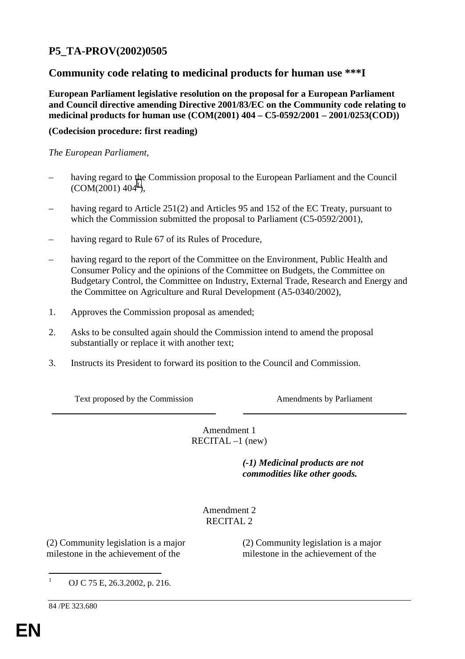# **P5\_TA-PROV(2002)0505**

# **Community code relating to medicinal products for human use \*\*\*I**

**European Parliament legislative resolution on the proposal for a European Parliament and Council directive amending Directive 2001/83/EC on the Community code relating to medicinal products for human use (COM(2001) 404 – C5-0592/2001 – 2001/0253(COD))**

# **(Codecision procedure: first reading)**

*The European Parliament*,

- having regard to the Commission proposal to the European Parliament and the Council  $(COM(2001) 404^1),$
- having regard to Article 251(2) and Articles 95 and 152 of the EC Treaty, pursuant to which the Commission submitted the proposal to Parliament (C5-0592/2001),
- having regard to Rule 67 of its Rules of Procedure,
- having regard to the report of the Committee on the Environment, Public Health and Consumer Policy and the opinions of the Committee on Budgets, the Committee on Budgetary Control, the Committee on Industry, External Trade, Research and Energy and the Committee on Agriculture and Rural Development (A5-0340/2002),
- 1. Approves the Commission proposal as amended;
- 2. Asks to be consulted again should the Commission intend to amend the proposal substantially or replace it with another text;
- 3. Instructs its President to forward its position to the Council and Commission.

Text proposed by the Commission **Amendments by Parliament** 

Amendment 1 RECITAL –1 (new)

> *(-1) Medicinal products are not commodities like other goods.*

Amendment 2 RECITAL 2

(2) Community legislation is a major milestone in the achievement of the

(2) Community legislation is a major milestone in the achievement of the

 $\frac{1}{1}$ OJ C 75 E, 26.3.2002, p. 216.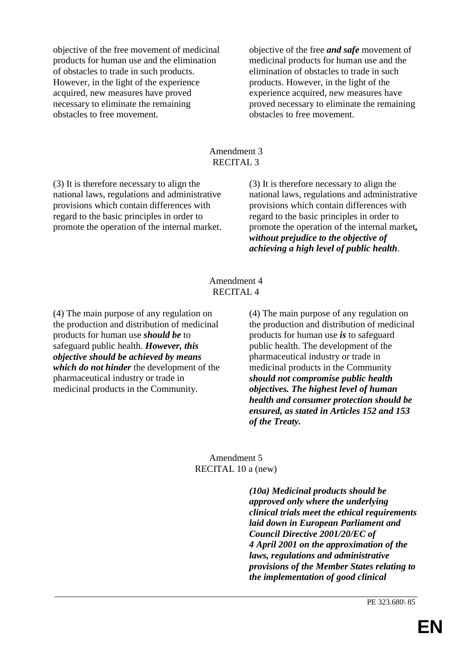objective of the free movement of medicinal products for human use and the elimination of obstacles to trade in such products. However, in the light of the experience acquired, new measures have proved necessary to eliminate the remaining obstacles to free movement.

objective of the free *and safe* movement of medicinal products for human use and the elimination of obstacles to trade in such products. However, in the light of the experience acquired, new measures have proved necessary to eliminate the remaining obstacles to free movement.

#### Amendment 3 RECITAL 3

(3) It is therefore necessary to align the national laws, regulations and administrative provisions which contain differences with regard to the basic principles in order to promote the operation of the internal market.

(3) It is therefore necessary to align the national laws, regulations and administrative provisions which contain differences with regard to the basic principles in order to promote the operation of the internal market*, without prejudice to the objective of achieving a high level of public health*.

### Amendment 4 RECITAL 4

(4) The main purpose of any regulation on the production and distribution of medicinal products for human use *should be* to safeguard public health. *However, this objective should be achieved by means which do not hinder* the development of the pharmaceutical industry or trade in medicinal products in the Community.

(4) The main purpose of any regulation on the production and distribution of medicinal products for human use *is* to safeguard public health. The development of the pharmaceutical industry or trade in medicinal products in the Community *should not compromise public health objectives. The highest level of human health and consumer protection should be ensured, as stated in Articles 152 and 153 of the Treaty.*

### Amendment 5 RECITAL 10 a (new)

*(10a) Medicinal products should be approved only where the underlying clinical trials meet the ethical requirements laid down in European Parliament and Council Directive 2001/20/EC of 4 April 2001 on the approximation of the laws, regulations and administrative provisions of the Member States relating to the implementation of good clinical*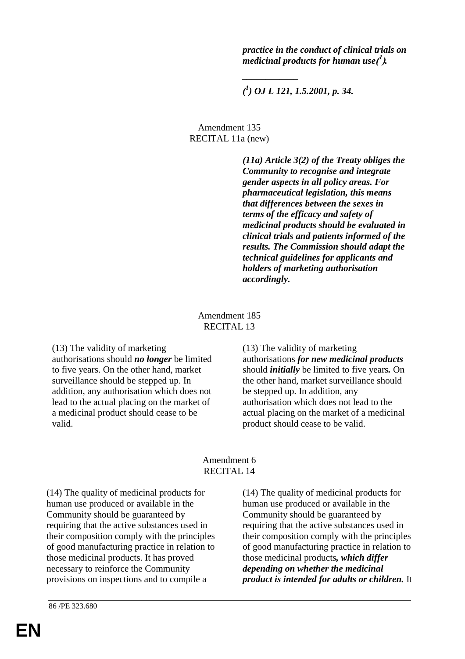*practice in the conduct of clinical trials on* medicinal products for human use ( $^{\prime}$  ).

*( 1 ) OJ L 121, 1.5.2001, p. 34.*

*\_\_\_\_\_\_\_\_\_\_\_\_*

Amendment 135 RECITAL 11a (new)

> *(11a) Article 3(2) of the Treaty obliges the Community to recognise and integrate gender aspects in all policy areas. For pharmaceutical legislation, this means that differences between the sexes in terms of the efficacy and safety of medicinal products should be evaluated in clinical trials and patients informed of the results. The Commission should adapt the technical guidelines for applicants and holders of marketing authorisation accordingly.*

#### Amendment 185 RECITAL 13

(13) The validity of marketing authorisations should *no longer* be limited to five years. On the other hand, market surveillance should be stepped up. In addition, any authorisation which does not lead to the actual placing on the market of a medicinal product should cease to be valid.

(13) The validity of marketing authorisations *for new medicinal products* should *initially* be limited to five years*.* On the other hand, market surveillance should be stepped up. In addition, any authorisation which does not lead to the actual placing on the market of a medicinal product should cease to be valid.

(14) The quality of medicinal products for human use produced or available in the

### Amendment 6 RECITAL 14

(14) The quality of medicinal products for human use produced or available in the Community should be guaranteed by requiring that the active substances used in their composition comply with the principles of good manufacturing practice in relation to those medicinal products. It has proved necessary to reinforce the Community provisions on inspections and to compile a

Community should be guaranteed by requiring that the active substances used in their composition comply with the principles of good manufacturing practice in relation to those medicinal products*, which differ depending on whether the medicinal product is intended for adults or children.* It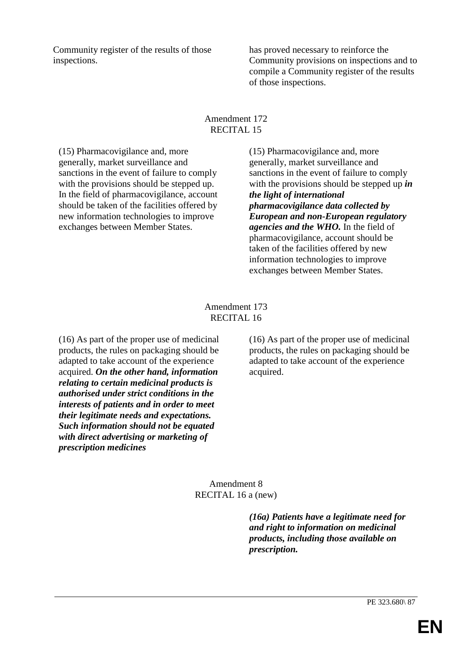Community register of the results of those inspections.

has proved necessary to reinforce the Community provisions on inspections and to compile a Community register of the results of those inspections.

### Amendment 172 RECITAL 15

(15) Pharmacovigilance and, more generally, market surveillance and sanctions in the event of failure to comply with the provisions should be stepped up. In the field of pharmacovigilance, account should be taken of the facilities offered by new information technologies to improve exchanges between Member States.

(15) Pharmacovigilance and, more generally, market surveillance and sanctions in the event of failure to comply with the provisions should be stepped up *in the light of international pharmacovigilance data collected by European and non-European regulatory agencies and the WHO.* In the field of pharmacovigilance, account should be taken of the facilities offered by new information technologies to improve exchanges between Member States.

# Amendment 173 RECITAL 16

(16) As part of the proper use of medicinal products, the rules on packaging should be adapted to take account of the experience acquired. *On the other hand, information relating to certain medicinal products is authorised under strict conditions in the interests of patients and in order to meet their legitimate needs and expectations. Such information should not be equated with direct advertising or marketing of prescription medicines*

(16) As part of the proper use of medicinal products, the rules on packaging should be adapted to take account of the experience acquired.

Amendment 8 RECITAL 16 a (new)

> *(16a) Patients have a legitimate need for and right to information on medicinal products, including those available on prescription.*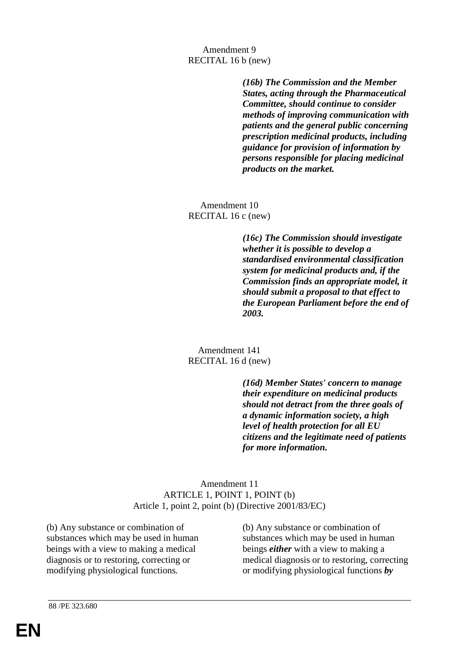## Amendment 9 RECITAL 16 b (new)

*(16b) The Commission and the Member States, acting through the Pharmaceutical Committee, should continue to consider methods of improving communication with patients and the general public concerning prescription medicinal products, including guidance for provision of information by persons responsible for placing medicinal products on the market.*

Amendment 10 RECITAL 16 c (new)

> *(16c) The Commission should investigate whether it is possible to develop a standardised environmental classification system for medicinal products and, if the Commission finds an appropriate model, it should submit a proposal to that effect to the European Parliament before the end of 2003.*

### Amendment 141 RECITAL 16 d (new)

*(16d) Member States' concern to manage their expenditure on medicinal products should not detract from the three goals of a dynamic information society, a high level of health protection for all EU citizens and the legitimate need of patients for more information.*

# Amendment 11 ARTICLE 1, POINT 1, POINT (b) Article 1, point 2, point (b) (Directive 2001/83/EC)

(b) Any substance or combination of substances which may be used in human beings with a view to making a medical diagnosis or to restoring, correcting or modifying physiological functions*.*

(b) Any substance or combination of substances which may be used in human beings *either* with a view to making a medical diagnosis or to restoring, correcting or modifying physiological functions *by*

88 /PE 323.680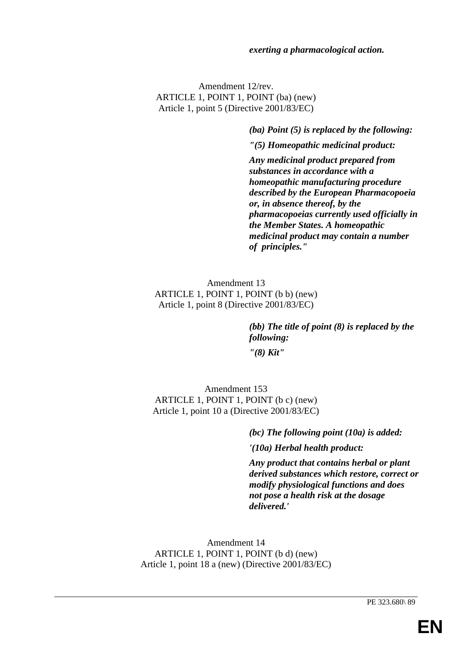#### *exerting a pharmacological action.*

Amendment 12/rev. ARTICLE 1, POINT 1, POINT (ba) (new) Article 1, point 5 (Directive 2001/83/EC)

*(ba) Point (5) is replaced by the following:*

*"(5) Homeopathic medicinal product:*

*Any medicinal product prepared from substances in accordance with a homeopathic manufacturing procedure described by the European Pharmacopoeia or, in absence thereof, by the pharmacopoeias currently used officially in the Member States. A homeopathic medicinal product may contain a number of principles."*

Amendment 13 ARTICLE 1, POINT 1, POINT (b b) (new) Article 1, point 8 (Directive 2001/83/EC)

> *(bb) The title of point (8) is replaced by the following: "(8) Kit"*

Amendment 153 ARTICLE 1, POINT 1, POINT (b c) (new) Article 1, point 10 a (Directive 2001/83/EC)

> *(bc) The following point (10a) is added: '(10a) Herbal health product:*

*Any product that contains herbal or plant derived substances which restore, correct or modify physiological functions and does not pose a health risk at the dosage delivered.'*

Amendment 14 ARTICLE 1, POINT 1, POINT (b d) (new) Article 1, point 18 a (new) (Directive 2001/83/EC)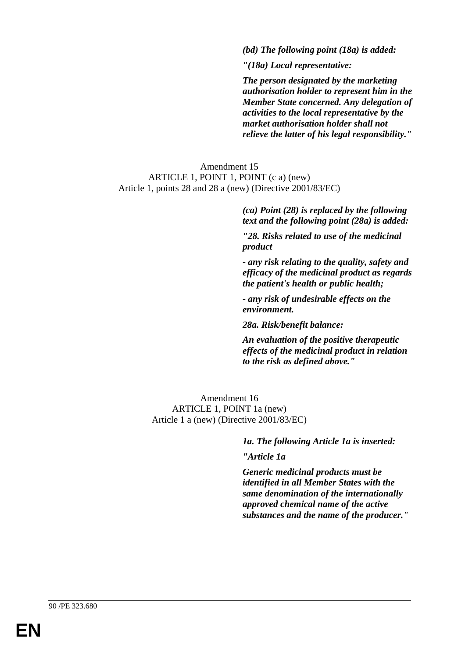*(bd) The following point (18a) is added:*

*"(18a) Local representative:*

*The person designated by the marketing authorisation holder to represent him in the Member State concerned. Any delegation of activities to the local representative by the market authorisation holder shall not relieve the latter of his legal responsibility."*

Amendment 15 ARTICLE 1, POINT 1, POINT (c a) (new) Article 1, points 28 and 28 a (new) (Directive 2001/83/EC)

> *(ca) Point (28) is replaced by the following text and the following point (28a) is added:*

*"28. Risks related to use of the medicinal product*

*- any risk relating to the quality, safety and efficacy of the medicinal product as regards the patient's health or public health;*

*- any risk of undesirable effects on the environment.*

*28a. Risk/benefit balance:*

*An evaluation of the positive therapeutic effects of the medicinal product in relation to the risk as defined above."*

Amendment 16 ARTICLE 1, POINT 1a (new) Article 1 a (new) (Directive 2001/83/EC)

*1a. The following Article 1a is inserted:*

*"Article 1a*

*Generic medicinal products must be identified in all Member States with the same denomination of the internationally approved chemical name of the active substances and the name of the producer."*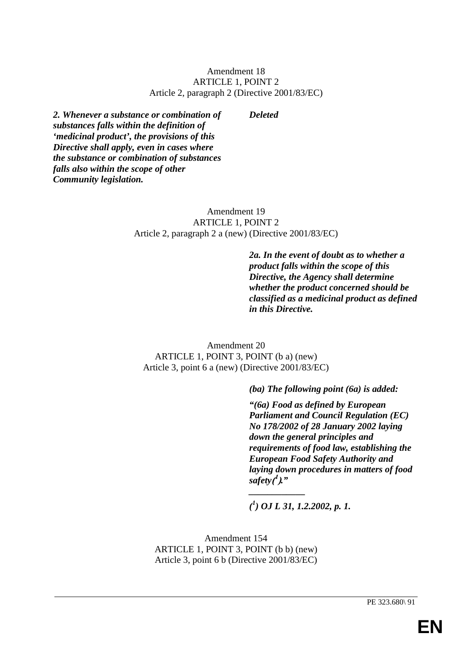### Amendment 18 ARTICLE 1, POINT 2 Article 2, paragraph 2 (Directive 2001/83/EC)

#### *Deleted*

*2. Whenever a substance or combination of substances falls within the definition of 'medicinal product', the provisions of this Directive shall apply, even in cases where the substance or combination of substances falls also within the scope of other Community legislation.*

### Amendment 19 ARTICLE 1, POINT 2 Article 2, paragraph 2 a (new) (Directive 2001/83/EC)

*2a. In the event of doubt as to whether a product falls within the scope of this Directive, the Agency shall determine whether the product concerned should be classified as a medicinal product as defined in this Directive.*

Amendment 20 ARTICLE 1, POINT 3, POINT (b a) (new) Article 3, point 6 a (new) (Directive 2001/83/EC)

*(ba) The following point (6a) is added:*

*"(6a) Food as defined by European Parliament and Council Regulation (EC) No 178/2002 of 28 January 2002 laying down the general principles and requirements of food law, establishing the European Food Safety Authority and laying down procedures in matters of food safety***( <sup>1</sup> )***."*

*( 1 ) OJ L 31, 1.2.2002, p. 1.*

*\_\_\_\_\_\_\_\_\_\_\_\_*

Amendment 154 ARTICLE 1, POINT 3, POINT (b b) (new) Article 3, point 6 b (Directive 2001/83/EC)

PE 323.680\ 91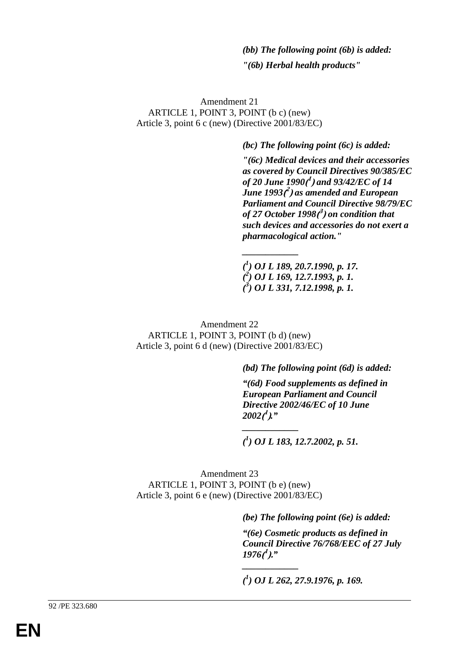# *(bb) The following point (6b) is added: "(6b) Herbal health products"*

Amendment 21 ARTICLE 1, POINT 3, POINT (b c) (new) Article 3, point 6 c (new) (Directive 2001/83/EC)

*(bc) The following point (6c) is added:*

*"(6c) Medical devices and their accessories as covered by Council Directives 90/385/EC of 20 June 1990***( <sup>1</sup> )** *and 93/42/EC of 14 June 1993***( <sup>2</sup> )** *as amended and European Parliament and Council Directive 98/79/EC of 27 October 1998***( <sup>3</sup> )** *on condition that such devices and accessories do not exert a pharmacological action."*

*( 1 ) OJ L 189, 20.7.1990, p. 17. ( 2 ) OJ L 169, 12.7.1993, p. 1. ( 3 ) OJ L 331, 7.12.1998, p. 1.*

*\_\_\_\_\_\_\_\_\_\_\_\_*

Amendment 22 ARTICLE 1, POINT 3, POINT (b d) (new) Article 3, point 6 d (new) (Directive 2001/83/EC)

*(bd) The following point (6d) is added:*

*"(6d) Food supplements as defined in European Parliament and Council Directive 2002/46/EC of 10 June 2002***( <sup>1</sup> )***."*

*( 1 ) OJ L 183, 12.7.2002, p. 51.*

*\_\_\_\_\_\_\_\_\_\_\_\_*

*\_\_\_\_\_\_\_\_\_\_\_\_*

Amendment 23 ARTICLE 1, POINT 3, POINT (b e) (new) Article 3, point 6 e (new) (Directive 2001/83/EC)

*(be) The following point (6e) is added:*

*"(6e) Cosmetic products as defined in Council Directive 76/768/EEC of 27 July 1976***( <sup>1</sup> ).***"*

*( 1 ) OJ L 262, 27.9.1976, p. 169.*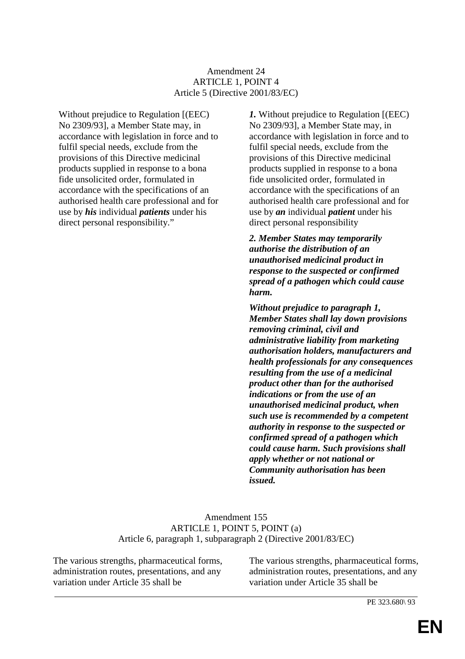### Amendment 24 ARTICLE 1, POINT 4 Article 5 (Directive 2001/83/EC)

Without prejudice to Regulation [(EEC) No 2309/93], a Member State may, in accordance with legislation in force and to fulfil special needs, exclude from the provisions of this Directive medicinal products supplied in response to a bona fide unsolicited order, formulated in accordance with the specifications of an authorised health care professional and for use by *his* individual *patients* under his direct personal responsibility."

*1.* Without prejudice to Regulation [(EEC) No 2309/93], a Member State may, in accordance with legislation in force and to fulfil special needs, exclude from the provisions of this Directive medicinal products supplied in response to a bona fide unsolicited order, formulated in accordance with the specifications of an authorised health care professional and for use by *an* individual *patient* under his direct personal responsibility

*2. Member States may temporarily authorise the distribution of an unauthorised medicinal product in response to the suspected or confirmed spread of a pathogen which could cause harm.*

*Without prejudice to paragraph 1, Member States shall lay down provisions removing criminal, civil and administrative liability from marketing authorisation holders, manufacturers and health professionals for any consequences resulting from the use of a medicinal product other than for the authorised indications or from the use of an unauthorised medicinal product, when such use is recommended by a competent authority in response to the suspected or confirmed spread of a pathogen which could cause harm. Such provisions shall apply whether or not national or Community authorisation has been issued.*

### Amendment 155 ARTICLE 1, POINT 5, POINT (a) Article 6, paragraph 1, subparagraph 2 (Directive 2001/83/EC)

The various strengths, pharmaceutical forms, administration routes, presentations, and any variation under Article 35 shall be

The various strengths, pharmaceutical forms, administration routes, presentations, and any variation under Article 35 shall be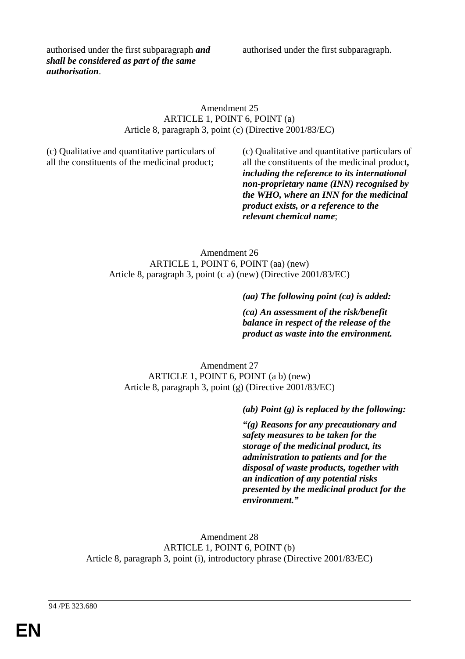authorised under the first subparagraph.

authorised under the first subparagraph *and shall be considered as part of the same authorisation*.

### Amendment 25 ARTICLE 1, POINT 6, POINT (a) Article 8, paragraph 3, point (c) (Directive 2001/83/EC)

(c) Qualitative and quantitative particulars of all the constituents of the medicinal product;

(c) Qualitative and quantitative particulars of all the constituents of the medicinal product*, including the reference to its international non-proprietary name (INN) recognised by the WHO, where an INN for the medicinal product exists, or a reference to the relevant chemical name*;

Amendment 26 ARTICLE 1, POINT 6, POINT (aa) (new) Article 8, paragraph 3, point (c a) (new) (Directive 2001/83/EC)

*(aa) The following point (ca) is added:*

*(ca) An assessment of the risk/benefit balance in respect of the release of the product as waste into the environment.*

Amendment 27 ARTICLE 1, POINT 6, POINT (a b) (new) Article 8, paragraph 3, point (g) (Directive 2001/83/EC)

*(ab) Point (g) is replaced by the following:*

*"(g) Reasons for any precautionary and safety measures to be taken for the storage of the medicinal product, its administration to patients and for the disposal of waste products, together with an indication of any potential risks presented by the medicinal product for the environment."*

Amendment 28 ARTICLE 1, POINT 6, POINT (b) Article 8, paragraph 3, point (i), introductory phrase (Directive 2001/83/EC)

94 /PE 323.680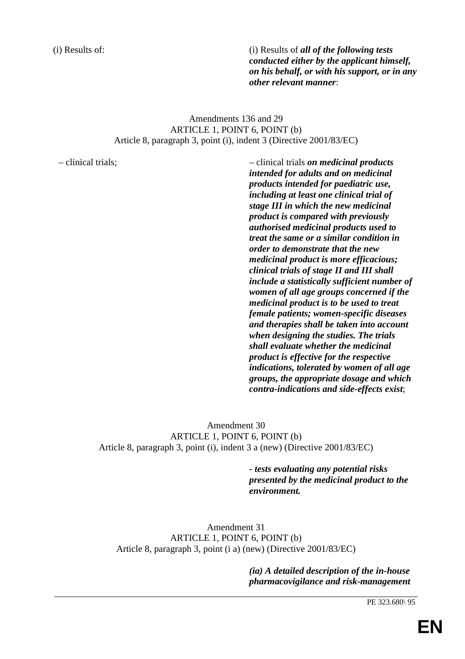(i) Results of: (i) Results of *all of the following tests conducted either by the applicant himself, on his behalf, or with his support, or in any other relevant manner*:

# Amendments 136 and 29 ARTICLE 1, POINT 6, POINT (b) Article 8, paragraph 3, point (i), indent 3 (Directive 2001/83/EC)

– clinical trials; – clinical trials *on medicinal products intended for adults and on medicinal products intended for paediatric use, including at least one clinical trial of stage III in which the new medicinal product is compared with previously authorised medicinal products used to treat the same or a similar condition in order to demonstrate that the new medicinal product is more efficacious; clinical trials of stage II and III shall include a statistically sufficient number of women of all age groups concerned if the medicinal product is to be used to treat female patients; women-specific diseases and therapies shall be taken into account when designing the studies. The trials shall evaluate whether the medicinal product is effective for the respective indications, tolerated by women of all age groups, the appropriate dosage and which contra-indications and side-effects exist*;

> Amendment 30 ARTICLE 1, POINT 6, POINT (b) Article 8, paragraph 3, point (i), indent 3 a (new) (Directive 2001/83/EC)

> > *- tests evaluating any potential risks presented by the medicinal product to the environment.*

Amendment 31 ARTICLE 1, POINT 6, POINT (b) Article 8, paragraph 3, point (i a) (new) (Directive 2001/83/EC)

> *(ia) A detailed description of the in-house pharmacovigilance and risk-management*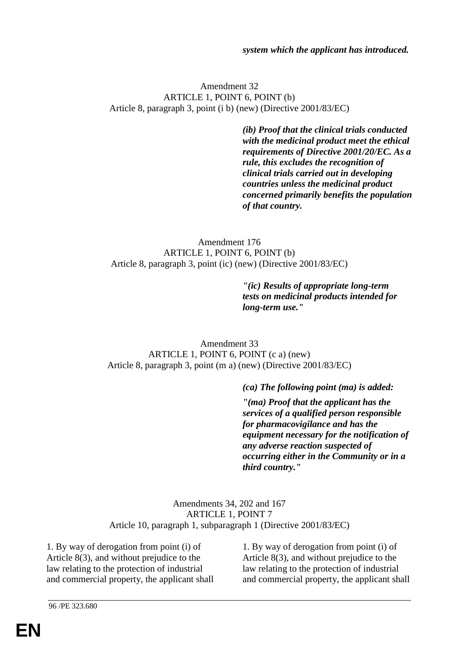*system which the applicant has introduced.*

#### Amendment 32 ARTICLE 1, POINT 6, POINT (b) Article 8, paragraph 3, point (i b) (new) (Directive 2001/83/EC)

*(ib) Proof that the clinical trials conducted with the medicinal product meet the ethical requirements of Directive 2001/20/EC. As a rule, this excludes the recognition of clinical trials carried out in developing countries unless the medicinal product concerned primarily benefits the population of that country.*

Amendment 176 ARTICLE 1, POINT 6, POINT (b) Article 8, paragraph 3, point (ic) (new) (Directive 2001/83/EC)

> *"(ic) Results of appropriate long-term tests on medicinal products intended for long-term use."*

Amendment 33 ARTICLE 1, POINT 6, POINT (c a) (new) Article 8, paragraph 3, point (m a) (new) (Directive 2001/83/EC)

*(ca) The following point (ma) is added:*

*"(ma) Proof that the applicant has the services of a qualified person responsible for pharmacovigilance and has the equipment necessary for the notification of any adverse reaction suspected of occurring either in the Community or in a third country."*

Amendments 34, 202 and 167 ARTICLE 1, POINT 7 Article 10, paragraph 1, subparagraph 1 (Directive 2001/83/EC)

1. By way of derogation from point (i) of Article 8(3), and without prejudice to the law relating to the protection of industrial and commercial property, the applicant shall

1. By way of derogation from point (i) of Article 8(3), and without prejudice to the law relating to the protection of industrial and commercial property, the applicant shall

96 /PE 323.680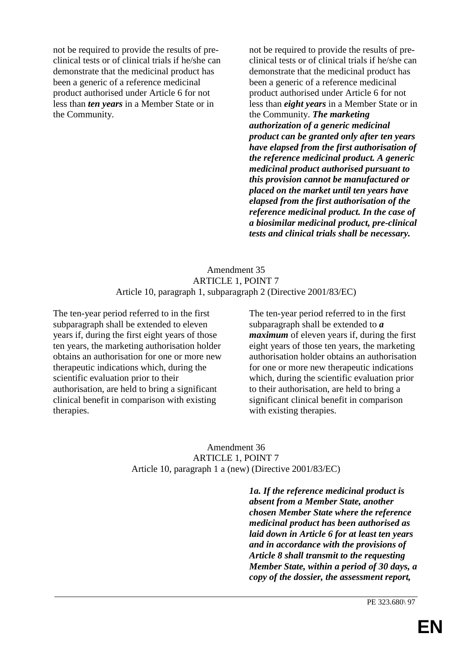not be required to provide the results of preclinical tests or of clinical trials if he/she can demonstrate that the medicinal product has been a generic of a reference medicinal product authorised under Article 6 for not less than *ten years* in a Member State or in the Community.

not be required to provide the results of preclinical tests or of clinical trials if he/she can demonstrate that the medicinal product has been a generic of a reference medicinal product authorised under Article 6 for not less than *eight years* in a Member State or in the Community. *The marketing authorization of a generic medicinal product can be granted only after ten years have elapsed from the first authorisation of the reference medicinal product. A generic medicinal product authorised pursuant to this provision cannot be manufactured or placed on the market until ten years have elapsed from the first authorisation of the reference medicinal product. In the case of a biosimilar medicinal product, pre-clinical tests and clinical trials shall be necessary.*

### Amendment 35 ARTICLE 1, POINT 7 Article 10, paragraph 1, subparagraph 2 (Directive 2001/83/EC)

The ten-year period referred to in the first subparagraph shall be extended to eleven years if, during the first eight years of those ten years, the marketing authorisation holder obtains an authorisation for one or more new therapeutic indications which, during the scientific evaluation prior to their authorisation, are held to bring a significant clinical benefit in comparison with existing therapies.

The ten-year period referred to in the first subparagraph shall be extended to *a maximum* of eleven years if, during the first eight years of those ten years, the marketing authorisation holder obtains an authorisation for one or more new therapeutic indications which, during the scientific evaluation prior to their authorisation, are held to bring a significant clinical benefit in comparison with existing therapies.

Amendment 36 ARTICLE 1, POINT 7 Article 10, paragraph 1 a (new) (Directive 2001/83/EC)

> *1a. If the reference medicinal product is absent from a Member State, another chosen Member State where the reference medicinal product has been authorised as laid down in Article 6 for at least ten years and in accordance with the provisions of Article 8 shall transmit to the requesting Member State, within a period of 30 days, a copy of the dossier, the assessment report,*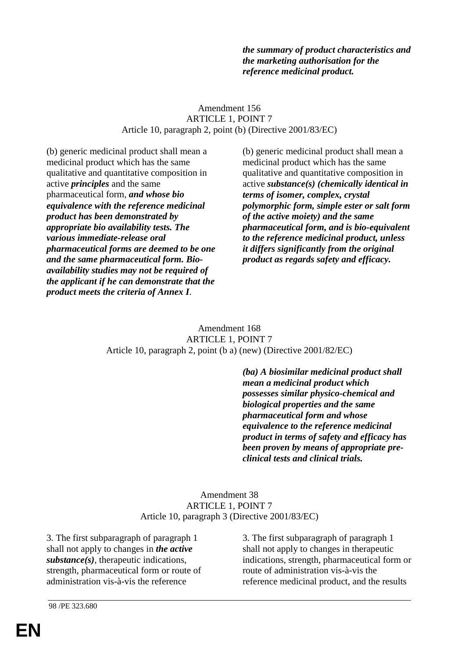*the summary of product characteristics and the marketing authorisation for the reference medicinal product.*

### Amendment 156 ARTICLE 1, POINT 7 Article 10, paragraph 2, point (b) (Directive 2001/83/EC)

(b) generic medicinal product shall mean a medicinal product which has the same qualitative and quantitative composition in active *principles* and the same pharmaceutical form, *and whose bio equivalence with the reference medicinal product has been demonstrated by appropriate bio availability tests. The various immediate-release oral pharmaceutical forms are deemed to be one and the same pharmaceutical form. Bioavailability studies may not be required of the applicant if he can demonstrate that the product meets the criteria of Annex I*.

(b) generic medicinal product shall mean a medicinal product which has the same qualitative and quantitative composition in active *substance(s) (chemically identical in terms of isomer, complex, crystal polymorphic form, simple ester or salt form of the active moiety) and the same pharmaceutical form, and is bio-equivalent to the reference medicinal product, unless it differs significantly from the original product as regards safety and efficacy.*

Amendment 168 ARTICLE 1, POINT 7 Article 10, paragraph 2, point (b a) (new) (Directive 2001/82/EC)

> *(ba) A biosimilar medicinal product shall mean a medicinal product which possesses similar physico-chemical and biological properties and the same pharmaceutical form and whose equivalence to the reference medicinal product in terms of safety and efficacy has been proven by means of appropriate preclinical tests and clinical trials.*

### Amendment 38 ARTICLE 1, POINT 7 Article 10, paragraph 3 (Directive 2001/83/EC)

3. The first subparagraph of paragraph 1 shall not apply to changes in *the active substance(s)*, therapeutic indications, strength, pharmaceutical form or route of administration vis-à-vis the reference

3. The first subparagraph of paragraph 1 shall not apply to changes in therapeutic indications, strength, pharmaceutical form or route of administration vis-à-vis the reference medicinal product, and the results

98 /PE 323.680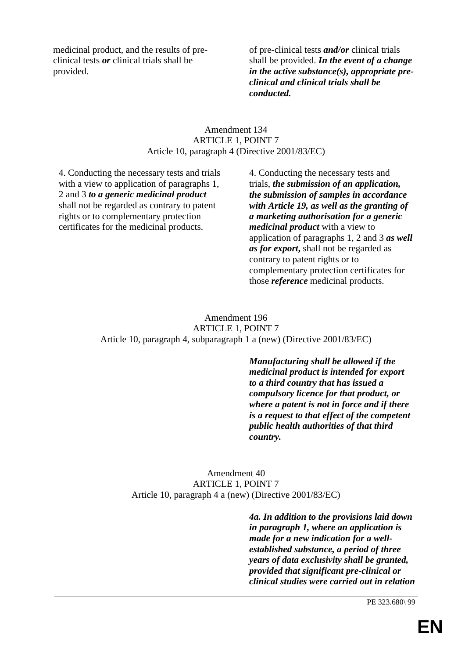medicinal product, and the results of preclinical tests *or* clinical trials shall be provided.

of pre-clinical tests *and/or* clinical trials shall be provided. *In the event of a change in the active substance(s), appropriate preclinical and clinical trials shall be conducted.*

# Amendment 134 ARTICLE 1, POINT 7 Article 10, paragraph 4 (Directive 2001/83/EC)

4. Conducting the necessary tests and trials with a view to application of paragraphs 1, 2 and 3 *to a generic medicinal product* shall not be regarded as contrary to patent rights or to complementary protection certificates for the medicinal products.

4. Conducting the necessary tests and trials, *the submission of an application, the submission of samples in accordance with Article 19, as well as the granting of a marketing authorisation for a generic medicinal product* with a view to application of paragraphs 1, 2 and 3 *as well as for export***,** shall not be regarded as contrary to patent rights or to complementary protection certificates for those *reference* medicinal products.

Amendment 196 ARTICLE 1, POINT 7 Article 10, paragraph 4, subparagraph 1 a (new) (Directive 2001/83/EC)

> *Manufacturing shall be allowed if the medicinal product is intended for export to a third country that has issued a compulsory licence for that product, or where a patent is not in force and if there is a request to that effect of the competent public health authorities of that third country.*

Amendment 40 ARTICLE 1, POINT 7 Article 10, paragraph 4 a (new) (Directive 2001/83/EC)

> *4a. In addition to the provisions laid down in paragraph 1, where an application is made for a new indication for a wellestablished substance, a period of three years of data exclusivity shall be granted, provided that significant pre-clinical or clinical studies were carried out in relation*

> > PE 323.680\ 99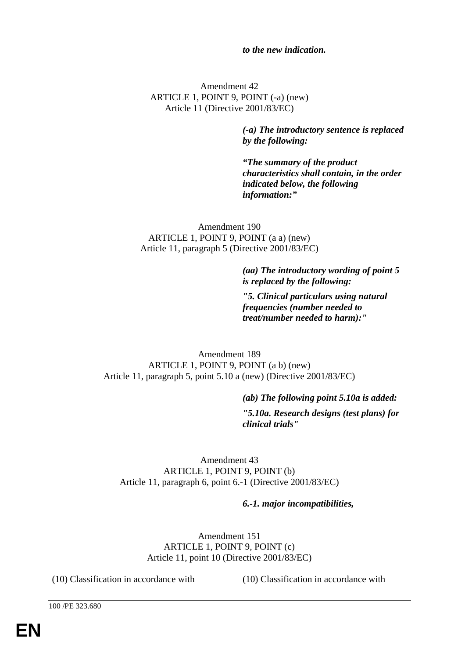### *to the new indication.*

Amendment 42 ARTICLE 1, POINT 9, POINT (-a) (new) Article 11 (Directive 2001/83/EC)

> *(-a) The introductory sentence is replaced by the following:*

*"The summary of the product characteristics shall contain, in the order indicated below, the following information:"*

Amendment 190 ARTICLE 1, POINT 9, POINT (a a) (new) Article 11, paragraph 5 (Directive 2001/83/EC)

> *(aa) The introductory wording of point 5 is replaced by the following:*

*"5. Clinical particulars using natural frequencies (number needed to treat/number needed to harm):"*

Amendment 189 ARTICLE 1, POINT 9, POINT (a b) (new) Article 11, paragraph 5, point 5.10 a (new) (Directive 2001/83/EC)

*(ab) The following point 5.10a is added:*

*"5.10a. Research designs (test plans) for clinical trials"*

Amendment 43 ARTICLE 1, POINT 9, POINT (b) Article 11, paragraph 6, point 6.-1 (Directive 2001/83/EC)

#### *6.-1. major incompatibilities,*

Amendment 151 ARTICLE 1, POINT 9, POINT (c) Article 11, point 10 (Directive 2001/83/EC)

(10) Classification in accordance with (10) Classification in accordance with

100 /PE 323.680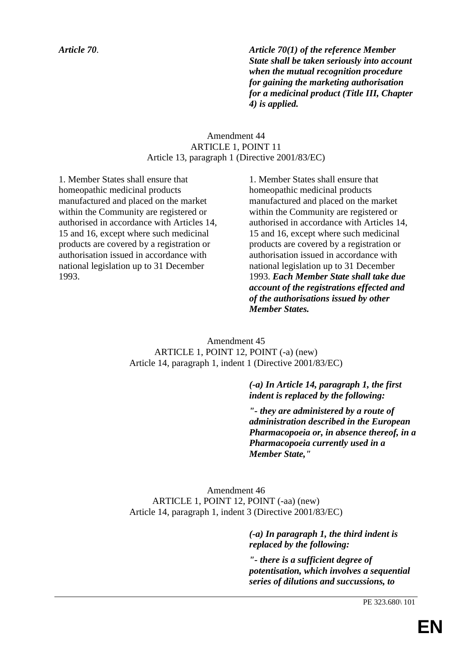*Article 70*. *Article 70(1) of the reference Member State shall be taken seriously into account when the mutual recognition procedure for gaining the marketing authorisation for a medicinal product (Title III, Chapter 4) is applied.*

# Amendment 44 ARTICLE 1, POINT 11 Article 13, paragraph 1 (Directive 2001/83/EC)

1. Member States shall ensure that homeopathic medicinal products manufactured and placed on the market within the Community are registered or authorised in accordance with Articles 14, 15 and 16, except where such medicinal products are covered by a registration or authorisation issued in accordance with national legislation up to 31 December 1993.

1. Member States shall ensure that homeopathic medicinal products manufactured and placed on the market within the Community are registered or authorised in accordance with Articles 14, 15 and 16, except where such medicinal products are covered by a registration or authorisation issued in accordance with national legislation up to 31 December 1993. *Each Member State shall take due account of the registrations effected and of the authorisations issued by other Member States.*

Amendment 45 ARTICLE 1, POINT 12, POINT (-a) (new) Article 14, paragraph 1, indent 1 (Directive 2001/83/EC)

> *(-a) In Article 14, paragraph 1, the first indent is replaced by the following:*

*"- they are administered by a route of administration described in the European Pharmacopoeia or, in absence thereof, in a Pharmacopoeia currently used in a Member State,"*

Amendment 46 ARTICLE 1, POINT 12, POINT (-aa) (new) Article 14, paragraph 1, indent 3 (Directive 2001/83/EC)

> *(-a) In paragraph 1, the third indent is replaced by the following:*

*"- there is a sufficient degree of potentisation, which involves a sequential series of dilutions and succussions, to*

PE 323.680\ 101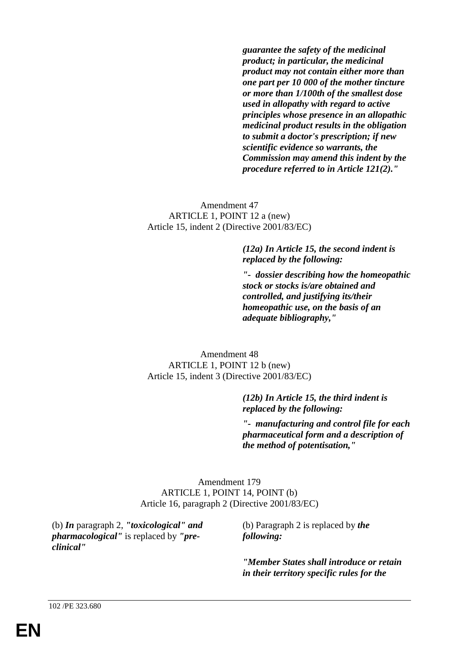*guarantee the safety of the medicinal product; in particular, the medicinal product may not contain either more than one part per 10 000 of the mother tincture or more than 1/100th of the smallest dose used in allopathy with regard to active principles whose presence in an allopathic medicinal product results in the obligation to submit a doctor's prescription; if new scientific evidence so warrants, the Commission may amend this indent by the procedure referred to in Article 121(2)."*

Amendment 47 ARTICLE 1, POINT 12 a (new) Article 15, indent 2 (Directive 2001/83/EC)

> *(12a) In Article 15, the second indent is replaced by the following:*

*"- dossier describing how the homeopathic stock or stocks is/are obtained and controlled, and justifying its/their homeopathic use, on the basis of an adequate bibliography,"*

Amendment 48 ARTICLE 1, POINT 12 b (new) Article 15, indent 3 (Directive 2001/83/EC)

> *(12b) In Article 15, the third indent is replaced by the following:*

*"- manufacturing and control file for each pharmaceutical form and a description of the method of potentisation,"*

Amendment 179 ARTICLE 1, POINT 14, POINT (b) Article 16, paragraph 2 (Directive 2001/83/EC)

(b) *In* paragraph 2, *"toxicological" and pharmacological"* is replaced by *"preclinical"*

(b) Paragraph 2 is replaced by *the following:*

*"Member States shall introduce or retain in their territory specific rules for the*

102 /PE 323.680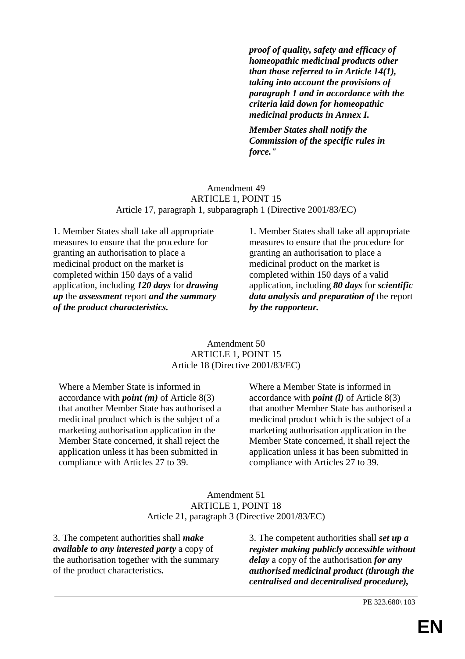*proof of quality, safety and efficacy of homeopathic medicinal products other than those referred to in Article 14(1), taking into account the provisions of paragraph 1 and in accordance with the criteria laid down for homeopathic medicinal products in Annex I.*

*Member States shall notify the Commission of the specific rules in force."*

#### Amendment 49 ARTICLE 1, POINT 15 Article 17, paragraph 1, subparagraph 1 (Directive 2001/83/EC)

1. Member States shall take all appropriate measures to ensure that the procedure for granting an authorisation to place a medicinal product on the market is completed within 150 days of a valid application, including *120 days* for *drawing up* the *assessment* report *and the summary of the product characteristics.*

1. Member States shall take all appropriate measures to ensure that the procedure for granting an authorisation to place a medicinal product on the market is completed within 150 days of a valid application, including *80 days* for *scientific data analysis and preparation of* the report *by the rapporteur.*

### Amendment 50 ARTICLE 1, POINT 15 Article 18 (Directive 2001/83/EC)

Where a Member State is informed in accordance with *point (m)* of Article 8(3) that another Member State has authorised a medicinal product which is the subject of a marketing authorisation application in the Member State concerned, it shall reject the application unless it has been submitted in compliance with Articles 27 to 39.

Where a Member State is informed in accordance with *point (l)* of Article 8(3) that another Member State has authorised a medicinal product which is the subject of a marketing authorisation application in the Member State concerned, it shall reject the application unless it has been submitted in compliance with Articles 27 to 39.

### Amendment 51 ARTICLE 1, POINT 18 Article 21, paragraph 3 (Directive 2001/83/EC)

3. The competent authorities shall *make available to any interested party* a copy of the authorisation together with the summary of the product characteristics*.*

3. The competent authorities shall *set up a register making publicly accessible without delay* a copy of the authorisation *for any authorised medicinal product (through the centralised and decentralised procedure),*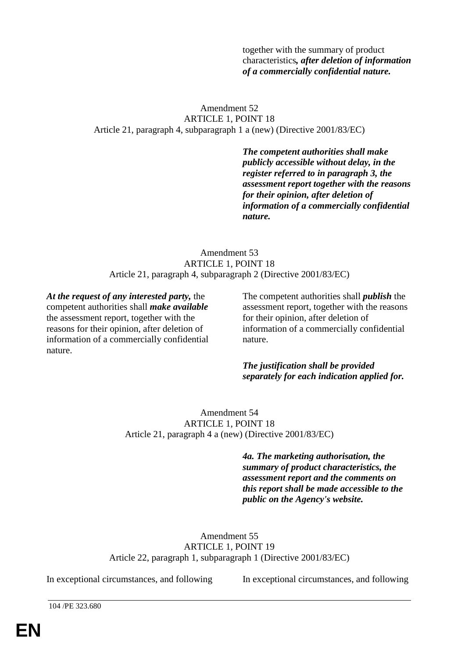together with the summary of product characteristics*, after deletion of information of a commercially confidential nature.*

## Amendment 52 ARTICLE 1, POINT 18 Article 21, paragraph 4, subparagraph 1 a (new) (Directive 2001/83/EC)

*The competent authorities shall make publicly accessible without delay, in the register referred to in paragraph 3, the assessment report together with the reasons for their opinion, after deletion of information of a commercially confidential nature.*

### Amendment 53 ARTICLE 1, POINT 18 Article 21, paragraph 4, subparagraph 2 (Directive 2001/83/EC)

*At the request of any interested party,* the competent authorities shall *make available* the assessment report, together with the reasons for their opinion, after deletion of information of a commercially confidential nature.

The competent authorities shall *publish* the assessment report, together with the reasons for their opinion, after deletion of information of a commercially confidential nature.

*The justification shall be provided separately for each indication applied for.*

Amendment 54 ARTICLE 1, POINT 18 Article 21, paragraph 4 a (new) (Directive 2001/83/EC)

> *4a. The marketing authorisation, the summary of product characteristics, the assessment report and the comments on this report shall be made accessible to the public on the Agency's website.*

Amendment 55 ARTICLE 1, POINT 19 Article 22, paragraph 1, subparagraph 1 (Directive 2001/83/EC)

In exceptional circumstances, and following In exceptional circumstances, and following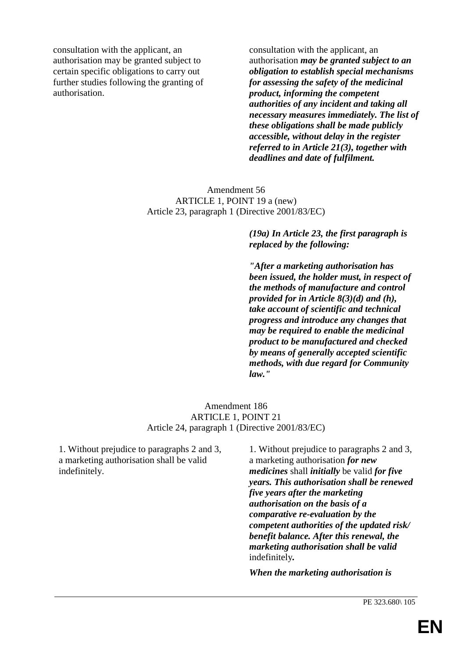consultation with the applicant, an authorisation may be granted subject to certain specific obligations to carry out further studies following the granting of authorisation.

consultation with the applicant, an authorisation *may be granted subject to an obligation to establish special mechanisms for assessing the safety of the medicinal product, informing the competent authorities of any incident and taking all necessary measures immediately. The list of these obligations shall be made publicly accessible, without delay in the register referred to in Article 21(3), together with deadlines and date of fulfilment.*

## Amendment 56 ARTICLE 1, POINT 19 a (new) Article 23, paragraph 1 (Directive 2001/83/EC)

# *(19a) In Article 23, the first paragraph is replaced by the following:*

*"After a marketing authorisation has been issued, the holder must, in respect of the methods of manufacture and control provided for in Article 8(3)(d) and (h), take account of scientific and technical progress and introduce any changes that may be required to enable the medicinal product to be manufactured and checked by means of generally accepted scientific methods, with due regard for Community law."*

### Amendment 186 ARTICLE 1, POINT 21 Article 24, paragraph 1 (Directive 2001/83/EC)

1. Without prejudice to paragraphs 2 and 3, a marketing authorisation shall be valid indefinitely.

1. Without prejudice to paragraphs 2 and 3, a marketing authorisation *for new medicines* shall *initially* be valid *for five years. This authorisation shall be renewed five years after the marketing authorisation on the basis of a comparative re-evaluation by the competent authorities of the updated risk/ benefit balance. After this renewal, the marketing authorisation shall be valid* indefinitely*.*

*When the marketing authorisation is*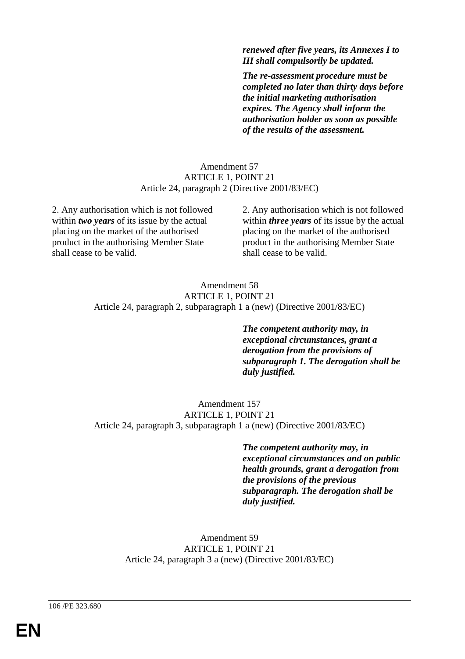*renewed after five years, its Annexes I to III shall compulsorily be updated.*

*The re-assessment procedure must be completed no later than thirty days before the initial marketing authorisation expires. The Agency shall inform the authorisation holder as soon as possible of the results of the assessment.*

### Amendment 57 ARTICLE 1, POINT 21 Article 24, paragraph 2 (Directive 2001/83/EC)

2. Any authorisation which is not followed within *two years* of its issue by the actual placing on the market of the authorised product in the authorising Member State shall cease to be valid.

2. Any authorisation which is not followed within *three years* of its issue by the actual placing on the market of the authorised product in the authorising Member State shall cease to be valid.

#### Amendment 58 ARTICLE 1, POINT 21 Article 24, paragraph 2, subparagraph 1 a (new) (Directive 2001/83/EC)

*The competent authority may, in exceptional circumstances, grant a derogation from the provisions of subparagraph 1. The derogation shall be duly justified.*

#### Amendment 157 ARTICLE 1, POINT 21 Article 24, paragraph 3, subparagraph 1 a (new) (Directive 2001/83/EC)

*The competent authority may, in exceptional circumstances and on public health grounds, grant a derogation from the provisions of the previous subparagraph. The derogation shall be duly justified.*

Amendment 59 ARTICLE 1, POINT 21 Article 24, paragraph 3 a (new) (Directive 2001/83/EC)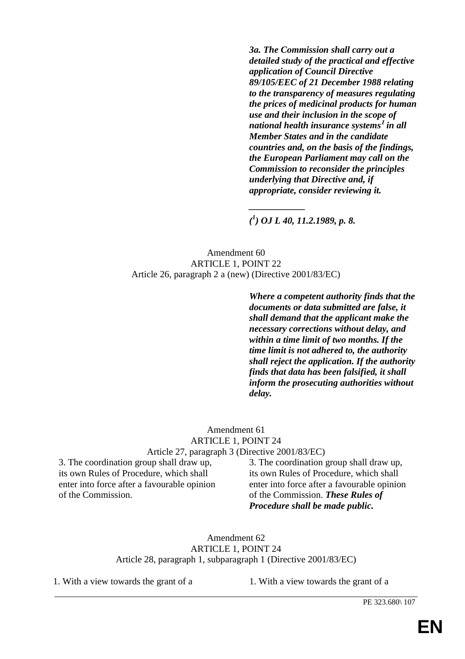*3a. The Commission shall carry out a detailed study of the practical and effective application of Council Directive 89/105/EEC of 21 December 1988 relating to the transparency of measures regulating the prices of medicinal products for human use and their inclusion in the scope of national health insurance systems***<sup>1</sup>** *in all Member States and in the candidate countries and, on the basis of the findings, the European Parliament may call on the Commission to reconsider the principles underlying that Directive and, if appropriate, consider reviewing it.*

*( 1 ) OJ L 40, 11.2.1989, p. 8.*

*\_\_\_\_\_\_\_\_\_\_\_\_*

Amendment 60 ARTICLE 1, POINT 22 Article 26, paragraph 2 a (new) (Directive 2001/83/EC)

> *Where a competent authority finds that the documents or data submitted are false, it shall demand that the applicant make the necessary corrections without delay, and within a time limit of two months. If the time limit is not adhered to, the authority shall reject the application. If the authority finds that data has been falsified, it shall inform the prosecuting authorities without delay.*

#### Amendment 61 ARTICLE 1, POINT 24 Article 27, paragraph 3 (Directive 2001/83/EC)

3. The coordination group shall draw up, its own Rules of Procedure, which shall enter into force after a favourable opinion of the Commission.

3. The coordination group shall draw up, its own Rules of Procedure, which shall enter into force after a favourable opinion of the Commission. *These Rules of Procedure shall be made public.*

Amendment 62 ARTICLE 1, POINT 24 Article 28, paragraph 1, subparagraph 1 (Directive 2001/83/EC)

1. With a view towards the grant of a 1. With a view towards the grant of a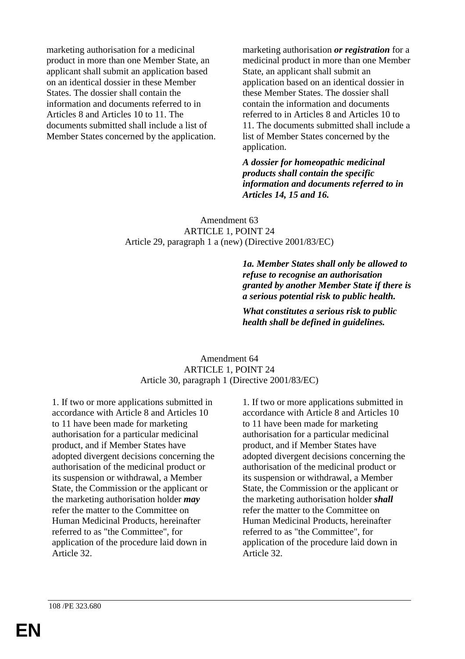marketing authorisation for a medicinal product in more than one Member State, an applicant shall submit an application based on an identical dossier in these Member States. The dossier shall contain the information and documents referred to in Articles 8 and Articles 10 to 11. The documents submitted shall include a list of Member States concerned by the application. marketing authorisation *or registration* for a medicinal product in more than one Member State, an applicant shall submit an application based on an identical dossier in these Member States. The dossier shall contain the information and documents referred to in Articles 8 and Articles 10 to 11. The documents submitted shall include a list of Member States concerned by the application.

*A dossier for homeopathic medicinal products shall contain the specific information and documents referred to in Articles 14, 15 and 16.*

### Amendment 63 ARTICLE 1, POINT 24 Article 29, paragraph 1 a (new) (Directive 2001/83/EC)

*1a. Member States shall only be allowed to refuse to recognise an authorisation granted by another Member State if there is a serious potential risk to public health.*

*What constitutes a serious risk to public health shall be defined in guidelines.*

### Amendment 64 ARTICLE 1, POINT 24 Article 30, paragraph 1 (Directive 2001/83/EC)

1. If two or more applications submitted in accordance with Article 8 and Articles 10 to 11 have been made for marketing authorisation for a particular medicinal product, and if Member States have adopted divergent decisions concerning the authorisation of the medicinal product or its suspension or withdrawal, a Member State, the Commission or the applicant or the marketing authorisation holder *may* refer the matter to the Committee on Human Medicinal Products, hereinafter referred to as "the Committee", for application of the procedure laid down in Article 32.

1. If two or more applications submitted in accordance with Article 8 and Articles 10 to 11 have been made for marketing authorisation for a particular medicinal product, and if Member States have adopted divergent decisions concerning the authorisation of the medicinal product or its suspension or withdrawal, a Member State, the Commission or the applicant or the marketing authorisation holder *shall* refer the matter to the Committee on Human Medicinal Products, hereinafter referred to as "the Committee", for application of the procedure laid down in Article 32.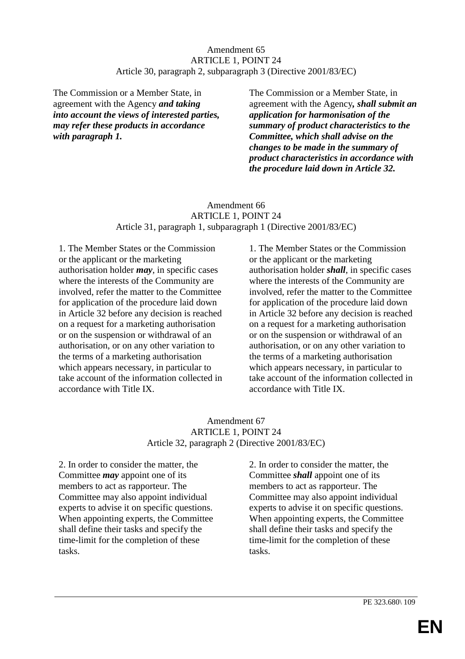# Amendment 65 ARTICLE 1, POINT 24 Article 30, paragraph 2, subparagraph 3 (Directive 2001/83/EC)

The Commission or a Member State, in agreement with the Agency *and taking into account the views of interested parties, may refer these products in accordance with paragraph 1.*

The Commission or a Member State, in agreement with the Agency*, shall submit an application for harmonisation of the summary of product characteristics to the Committee, which shall advise on the changes to be made in the summary of product characteristics in accordance with the procedure laid down in Article 32.*

# Amendment 66 ARTICLE 1, POINT 24 Article 31, paragraph 1, subparagraph 1 (Directive 2001/83/EC)

1. The Member States or the Commission or the applicant or the marketing authorisation holder *may*, in specific cases where the interests of the Community are involved, refer the matter to the Committee for application of the procedure laid down in Article 32 before any decision is reached on a request for a marketing authorisation or on the suspension or withdrawal of an authorisation, or on any other variation to the terms of a marketing authorisation which appears necessary, in particular to take account of the information collected in accordance with Title IX.

1. The Member States or the Commission or the applicant or the marketing authorisation holder *shall*, in specific cases where the interests of the Community are involved, refer the matter to the Committee for application of the procedure laid down in Article 32 before any decision is reached on a request for a marketing authorisation or on the suspension or withdrawal of an authorisation, or on any other variation to the terms of a marketing authorisation which appears necessary, in particular to take account of the information collected in accordance with Title IX.

### Amendment 67 ARTICLE 1, POINT 24 Article 32, paragraph 2 (Directive 2001/83/EC)

2. In order to consider the matter, the Committee *may* appoint one of its members to act as rapporteur. The Committee may also appoint individual experts to advise it on specific questions. When appointing experts, the Committee shall define their tasks and specify the time-limit for the completion of these tasks.

2. In order to consider the matter, the Committee *shall* appoint one of its members to act as rapporteur. The Committee may also appoint individual experts to advise it on specific questions. When appointing experts, the Committee shall define their tasks and specify the time-limit for the completion of these tasks.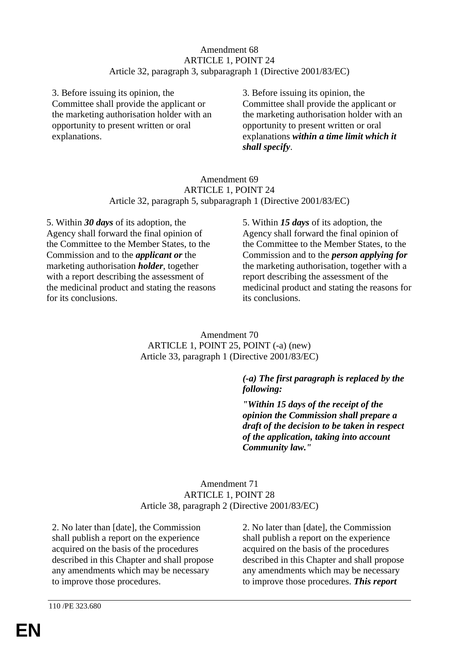## Amendment 68 ARTICLE 1, POINT 24 Article 32, paragraph 3, subparagraph 1 (Directive 2001/83/EC)

3. Before issuing its opinion, the Committee shall provide the applicant or the marketing authorisation holder with an opportunity to present written or oral explanations.

3. Before issuing its opinion, the Committee shall provide the applicant or the marketing authorisation holder with an opportunity to present written or oral explanations *within a time limit which it shall specify*.

### Amendment 69 ARTICLE 1, POINT 24 Article 32, paragraph 5, subparagraph 1 (Directive 2001/83/EC)

5. Within *30 days* of its adoption, the Agency shall forward the final opinion of the Committee to the Member States, to the Commission and to the *applicant or* the marketing authorisation *holder*, together with a report describing the assessment of the medicinal product and stating the reasons for its conclusions.

5. Within *15 days* of its adoption, the Agency shall forward the final opinion of the Committee to the Member States, to the Commission and to the *person applying for* the marketing authorisation, together with a report describing the assessment of the medicinal product and stating the reasons for its conclusions.

Amendment 70 ARTICLE 1, POINT 25, POINT (-a) (new) Article 33, paragraph 1 (Directive 2001/83/EC)

# *(-a) The first paragraph is replaced by the following:*

*"Within 15 days of the receipt of the opinion the Commission shall prepare a draft of the decision to be taken in respect of the application, taking into account Community law."*

# Amendment 71 ARTICLE 1, POINT 28 Article 38, paragraph 2 (Directive 2001/83/EC)

2. No later than [date], the Commission shall publish a report on the experience acquired on the basis of the procedures described in this Chapter and shall propose any amendments which may be necessary to improve those procedures.

2. No later than [date], the Commission shall publish a report on the experience acquired on the basis of the procedures described in this Chapter and shall propose any amendments which may be necessary to improve those procedures. *This report*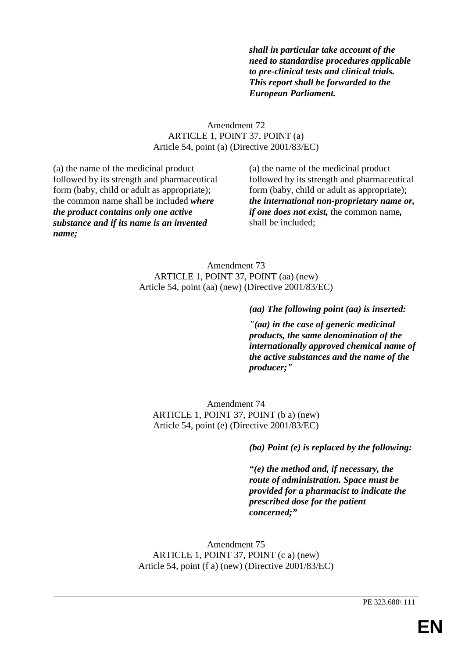*shall in particular take account of the need to standardise procedures applicable to pre-clinical tests and clinical trials. This report shall be forwarded to the European Parliament.*

# Amendment 72 ARTICLE 1, POINT 37, POINT (a) Article 54, point (a) (Directive 2001/83/EC)

(a) the name of the medicinal product followed by its strength and pharmaceutical form (baby, child or adult as appropriate); the common name shall be included *where the product contains only one active substance and if its name is an invented name;*

(a) the name of the medicinal product followed by its strength and pharmaceutical form (baby, child or adult as appropriate); *the international non-proprietary name or, if one does not exist,* the common name*,* shall be included;

Amendment 73 ARTICLE 1, POINT 37, POINT (aa) (new) Article 54, point (aa) (new) (Directive 2001/83/EC)

*(aa) The following point (aa) is inserted:*

*"(aa) in the case of generic medicinal products, the same denomination of the internationally approved chemical name of the active substances and the name of the producer;"*

Amendment 74 ARTICLE 1, POINT 37, POINT (b a) (new) Article 54, point (e) (Directive 2001/83/EC)

*(ba) Point (e) is replaced by the following:*

*"(e) the method and, if necessary, the route of administration. Space must be provided for a pharmacist to indicate the prescribed dose for the patient concerned;"*

Amendment 75 ARTICLE 1, POINT 37, POINT (c a) (new) Article 54, point (f a) (new) (Directive 2001/83/EC)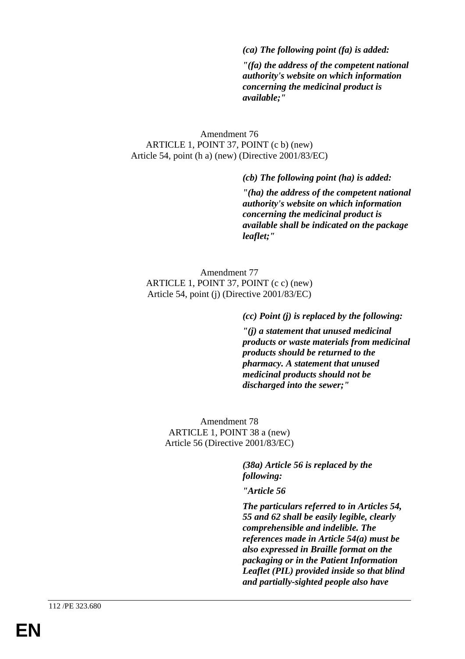### *(ca) The following point (fa) is added:*

*"(fa) the address of the competent national authority's website on which information concerning the medicinal product is available;"*

### Amendment 76 ARTICLE 1, POINT 37, POINT (c b) (new) Article 54, point (h a) (new) (Directive 2001/83/EC)

*(cb) The following point (ha) is added:*

*"(ha) the address of the competent national authority's website on which information concerning the medicinal product is available shall be indicated on the package leaflet;"*

Amendment 77 ARTICLE 1, POINT 37, POINT (c c) (new) Article 54, point (j) (Directive 2001/83/EC)

#### *(cc) Point (j) is replaced by the following:*

*"(j) a statement that unused medicinal products or waste materials from medicinal products should be returned to the pharmacy. A statement that unused medicinal products should not be discharged into the sewer;"*

Amendment 78 ARTICLE 1, POINT 38 a (new) Article 56 (Directive 2001/83/EC)

> *(38a) Article 56 is replaced by the following:*

*"Article 56*

*The particulars referred to in Articles 54, 55 and 62 shall be easily legible, clearly comprehensible and indelible. The references made in Article 54(a) must be also expressed in Braille format on the packaging or in the Patient Information Leaflet (PIL) provided inside so that blind and partially-sighted people also have*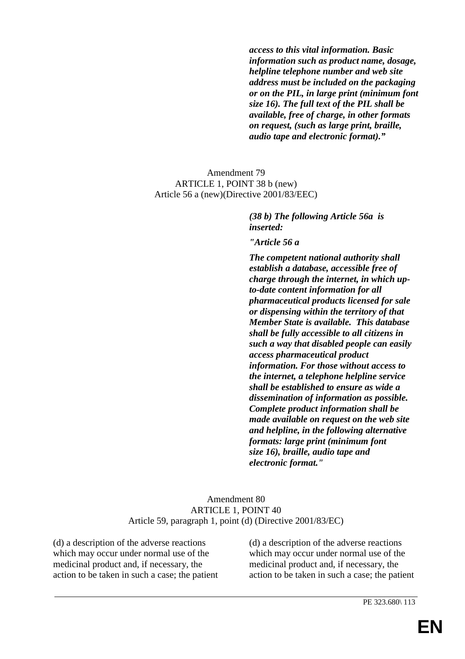*access to this vital information. Basic information such as product name, dosage, helpline telephone number and web site address must be included on the packaging or on the PIL, in large print (minimum font size 16). The full text of the PIL shall be available, free of charge, in other formats on request, (such as large print, braille, audio tape and electronic format)."*

### Amendment 79 ARTICLE 1, POINT 38 b (new) Article 56 a (new)(Directive 2001/83/EEC)

*(38 b) The following Article 56a is inserted:*

*"Article 56 a*

*The competent national authority shall establish a database, accessible free of charge through the internet, in which upto-date content information for all pharmaceutical products licensed for sale or dispensing within the territory of that Member State is available. This database shall be fully accessible to all citizens in such a way that disabled people can easily access pharmaceutical product information. For those without access to the internet, a telephone helpline service shall be established to ensure as wide a dissemination of information as possible. Complete product information shall be made available on request on the web site and helpline, in the following alternative formats: large print (minimum font size 16), braille, audio tape and electronic format."*

### Amendment 80 ARTICLE 1, POINT 40 Article 59, paragraph 1, point (d) (Directive 2001/83/EC)

(d) a description of the adverse reactions which may occur under normal use of the medicinal product and, if necessary, the action to be taken in such a case; the patient (d) a description of the adverse reactions which may occur under normal use of the medicinal product and, if necessary, the action to be taken in such a case; the patient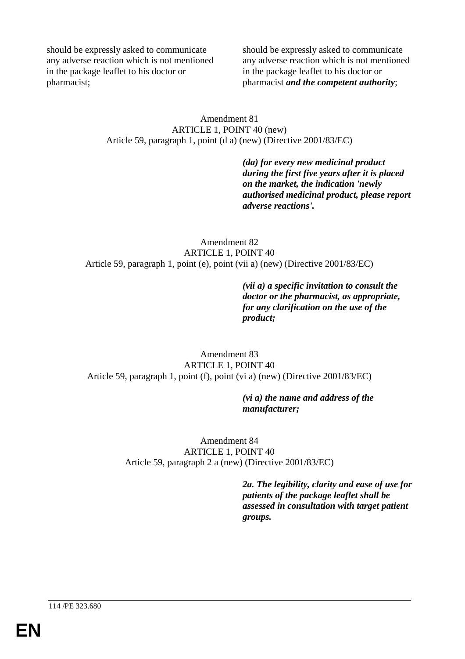should be expressly asked to communicate any adverse reaction which is not mentioned in the package leaflet to his doctor or pharmacist;

should be expressly asked to communicate any adverse reaction which is not mentioned in the package leaflet to his doctor or pharmacist *and the competent authority*;

### Amendment 81 ARTICLE 1, POINT 40 (new) Article 59, paragraph 1, point (d a) (new) (Directive 2001/83/EC)

*(da) for every new medicinal product during the first five years after it is placed on the market, the indication 'newly authorised medicinal product, please report adverse reactions'.*

Amendment 82 ARTICLE 1, POINT 40 Article 59, paragraph 1, point (e), point (vii a) (new) (Directive 2001/83/EC)

> *(vii a) a specific invitation to consult the doctor or the pharmacist, as appropriate, for any clarification on the use of the product;*

Amendment 83 ARTICLE 1, POINT 40 Article 59, paragraph 1, point (f), point (vi a) (new) (Directive 2001/83/EC)

### *(vi a) the name and address of the manufacturer;*

Amendment 84 ARTICLE 1, POINT 40 Article 59, paragraph 2 a (new) (Directive 2001/83/EC)

> *2a. The legibility, clarity and ease of use for patients of the package leaflet shall be assessed in consultation with target patient groups.*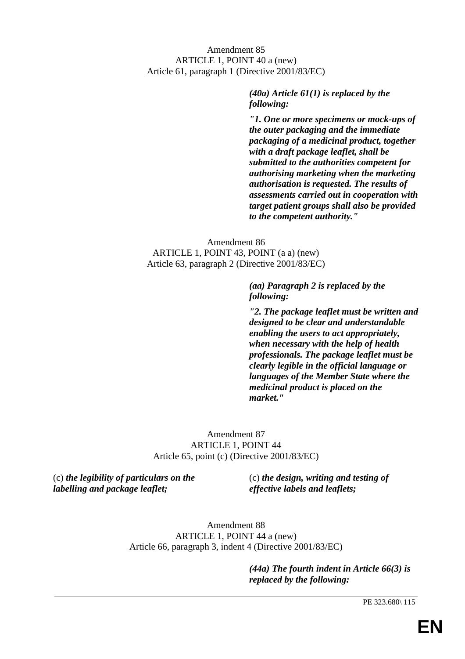# Amendment 85 ARTICLE 1, POINT 40 a (new) Article 61, paragraph 1 (Directive 2001/83/EC)

*(40a) Article 61(1) is replaced by the following:*

*"1. One or more specimens or mock-ups of the outer packaging and the immediate packaging of a medicinal product, together with a draft package leaflet, shall be submitted to the authorities competent for authorising marketing when the marketing authorisation is requested. The results of assessments carried out in cooperation with target patient groups shall also be provided to the competent authority."*

Amendment 86 ARTICLE 1, POINT 43, POINT (a a) (new) Article 63, paragraph 2 (Directive 2001/83/EC)

> *(aa) Paragraph 2 is replaced by the following:*

*"2. The package leaflet must be written and designed to be clear and understandable enabling the users to act appropriately, when necessary with the help of health professionals. The package leaflet must be clearly legible in the official language or languages of the Member State where the medicinal product is placed on the market."*

Amendment 87 ARTICLE 1, POINT 44 Article 65, point (c) (Directive 2001/83/EC)

(c) *the legibility of particulars on the labelling and package leaflet;*

(c) *the design, writing and testing of effective labels and leaflets;*

Amendment 88 ARTICLE 1, POINT 44 a (new) Article 66, paragraph 3, indent 4 (Directive 2001/83/EC)

> *(44a) The fourth indent in Article 66(3) is replaced by the following:*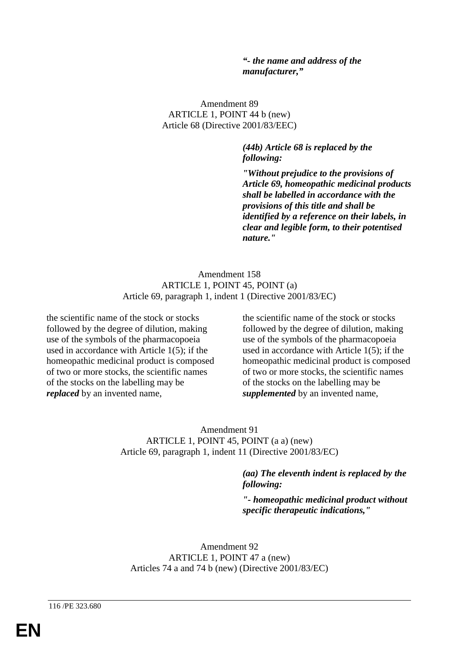### *"- the name and address of the manufacturer,"*

Amendment 89 ARTICLE 1, POINT 44 b (new) Article 68 (Directive 2001/83/EEC)

> *(44b) Article 68 is replaced by the following:*

*"Without prejudice to the provisions of Article 69, homeopathic medicinal products shall be labelled in accordance with the provisions of this title and shall be identified by a reference on their labels, in clear and legible form, to their potentised nature."*

Amendment 158 ARTICLE 1, POINT 45, POINT (a) Article 69, paragraph 1, indent 1 (Directive 2001/83/EC)

the scientific name of the stock or stocks followed by the degree of dilution, making use of the symbols of the pharmacopoeia used in accordance with Article 1(5); if the homeopathic medicinal product is composed of two or more stocks, the scientific names of the stocks on the labelling may be *replaced* by an invented name,

the scientific name of the stock or stocks followed by the degree of dilution, making use of the symbols of the pharmacopoeia used in accordance with Article 1(5); if the homeopathic medicinal product is composed of two or more stocks, the scientific names of the stocks on the labelling may be *supplemented* by an invented name,

Amendment 91 ARTICLE 1, POINT 45, POINT (a a) (new) Article 69, paragraph 1, indent 11 (Directive 2001/83/EC)

> *(aa) The eleventh indent is replaced by the following:*

*"- homeopathic medicinal product without specific therapeutic indications,"*

Amendment 92 ARTICLE 1, POINT 47 a (new) Articles 74 a and 74 b (new) (Directive 2001/83/EC)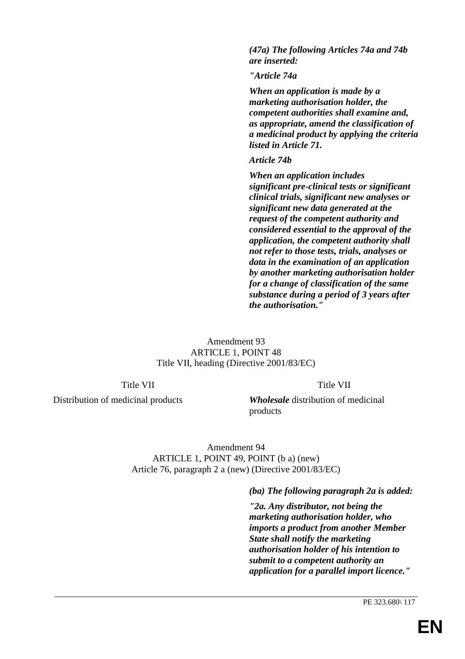*(47a) The following Articles 74a and 74b are inserted:*

*"Article 74a*

*When an application is made by a marketing authorisation holder, the competent authorities shall examine and, as appropriate, amend the classification of a medicinal product by applying the criteria listed in Article 71.*

#### *Article 74b*

*When an application includes significant pre-clinical tests or significant clinical trials, significant new analyses or significant new data generated at the request of the competent authority and considered essential to the approval of the application, the competent authority shall not refer to those tests, trials, analyses or data in the examination of an application by another marketing authorisation holder for a change of classification of the same substance during a period of 3 years after the authorisation."*

Amendment 93 ARTICLE 1, POINT 48 Title VII, heading (Directive 2001/83/EC)

### Title VII

Title VII

Distribution of medicinal products

*Wholesale* distribution of medicinal products

Amendment 94 ARTICLE 1, POINT 49, POINT (b a) (new) Article 76, paragraph 2 a (new) (Directive 2001/83/EC)

*(ba) The following paragraph 2a is added:*

*"2a. Any distributor, not being the marketing authorisation holder, who imports a product from another Member State shall notify the marketing authorisation holder of his intention to submit to a competent authority an application for a parallel import licence."*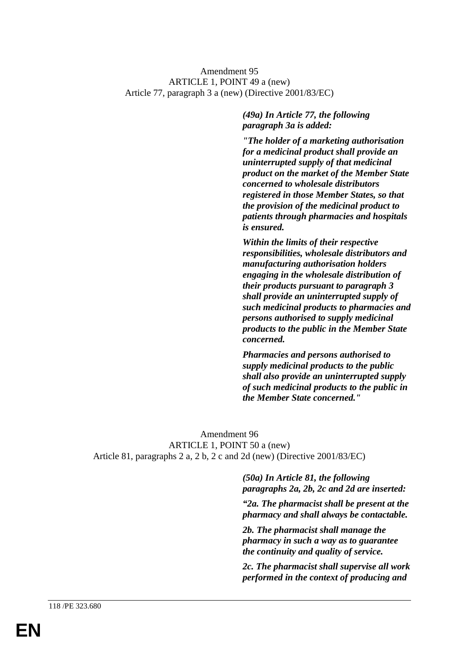### Amendment 95 ARTICLE 1, POINT 49 a (new) Article 77, paragraph 3 a (new) (Directive 2001/83/EC)

*(49a) In Article 77, the following paragraph 3a is added:*

*"The holder of a marketing authorisation for a medicinal product shall provide an uninterrupted supply of that medicinal product on the market of the Member State concerned to wholesale distributors registered in those Member States, so that the provision of the medicinal product to patients through pharmacies and hospitals is ensured.*

*Within the limits of their respective responsibilities, wholesale distributors and manufacturing authorisation holders engaging in the wholesale distribution of their products pursuant to paragraph 3 shall provide an uninterrupted supply of such medicinal products to pharmacies and persons authorised to supply medicinal products to the public in the Member State concerned.*

*Pharmacies and persons authorised to supply medicinal products to the public shall also provide an uninterrupted supply of such medicinal products to the public in the Member State concerned."*

Amendment 96 ARTICLE 1, POINT 50 a (new) Article 81, paragraphs 2 a, 2 b, 2 c and 2d (new) (Directive 2001/83/EC)

> *(50a) In Article 81, the following paragraphs 2a, 2b, 2c and 2d are inserted:*

*"2a. The pharmacist shall be present at the pharmacy and shall always be contactable.*

*2b. The pharmacist shall manage the pharmacy in such a way as to guarantee the continuity and quality of service.*

*2c. The pharmacist shall supervise all work performed in the context of producing and*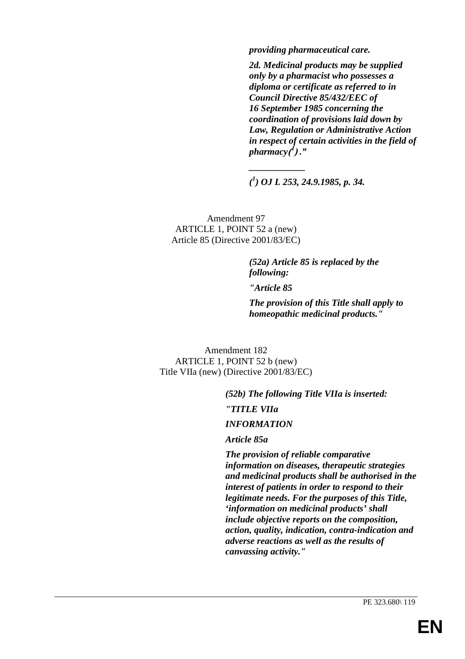*providing pharmaceutical care.*

*2d. Medicinal products may be supplied only by a pharmacist who possesses a diploma or certificate as referred to in Council Directive 85/432/EEC of 16 September 1985 concerning the coordination of provisions laid down by Law, Regulation or Administrative Action in respect of certain activities in the field of pharmacy***( <sup>1</sup> )** *."*

*( 1 ) OJ L 253, 24.9.1985, p. 34.*

*\_\_\_\_\_\_\_\_\_\_\_\_*

Amendment 97 ARTICLE 1, POINT 52 a (new) Article 85 (Directive 2001/83/EC)

> *(52a) Article 85 is replaced by the following: "Article 85 The provision of this Title shall apply to homeopathic medicinal products."*

Amendment 182 ARTICLE 1, POINT 52 b (new) Title VIIa (new) (Directive 2001/83/EC)

> *(52b) The following Title VIIa is inserted: "TITLE VIIa*

*INFORMATION*

*Article 85a*

*The provision of reliable comparative information on diseases, therapeutic strategies and medicinal products shall be authorised in the interest of patients in order to respond to their legitimate needs. For the purposes of this Title, 'information on medicinal products' shall include objective reports on the composition, action, quality, indication, contra-indication and adverse reactions as well as the results of canvassing activity."*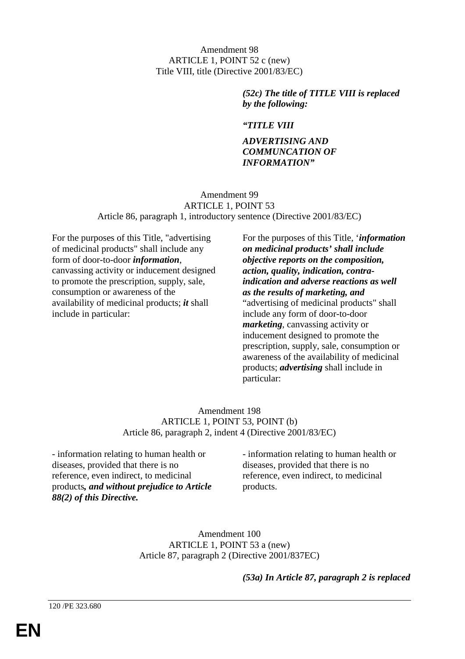Amendment 98 ARTICLE 1, POINT 52 c (new) Title VIII, title (Directive 2001/83/EC)

> *(52c) The title of TITLE VIII is replaced by the following:*

## *"TITLE VIII*

### *ADVERTISING AND COMMUNCATION OF INFORMATION"*

### Amendment 99 ARTICLE 1, POINT 53 Article 86, paragraph 1, introductory sentence (Directive 2001/83/EC)

For the purposes of this Title, "advertising of medicinal products" shall include any form of door-to-door *information*, canvassing activity or inducement designed to promote the prescription, supply, sale, consumption or awareness of the availability of medicinal products; *it* shall include in particular:

For the purposes of this Title, '*information on medicinal products' shall include objective reports on the composition, action, quality, indication, contraindication and adverse reactions as well as the results of marketing, and* "advertising of medicinal products" shall include any form of door-to-door *marketing*, canvassing activity or inducement designed to promote the prescription, supply, sale, consumption or awareness of the availability of medicinal products; *advertising* shall include in particular:

### Amendment 198 ARTICLE 1, POINT 53, POINT (b) Article 86, paragraph 2, indent 4 (Directive 2001/83/EC)

- information relating to human health or diseases, provided that there is no reference, even indirect, to medicinal products*, and without prejudice to Article 88(2) of this Directive.*

- information relating to human health or diseases, provided that there is no reference, even indirect, to medicinal products.

Amendment 100 ARTICLE 1, POINT 53 a (new) Article 87, paragraph 2 (Directive 2001/837EC)

*(53a) In Article 87, paragraph 2 is replaced*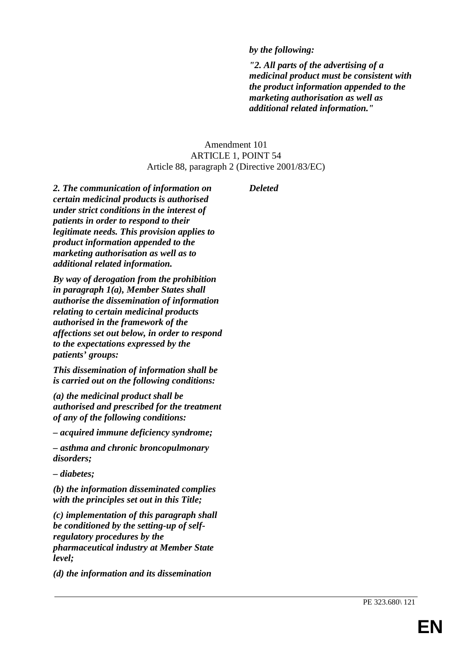# *by the following:*

*"2. All parts of the advertising of a medicinal product must be consistent with the product information appended to the marketing authorisation as well as additional related information."*

# Amendment 101 ARTICLE 1, POINT 54 Article 88, paragraph 2 (Directive 2001/83/EC)

*Deleted*

*2. The communication of information on certain medicinal products is authorised under strict conditions in the interest of patients in order to respond to their legitimate needs. This provision applies to product information appended to the marketing authorisation as well as to additional related information.*

*By way of derogation from the prohibition in paragraph 1(a), Member States shall authorise the dissemination of information relating to certain medicinal products authorised in the framework of the affections set out below, in order to respond to the expectations expressed by the patients' groups:*

*This dissemination of information shall be is carried out on the following conditions:*

*(a) the medicinal product shall be authorised and prescribed for the treatment of any of the following conditions:*

*– acquired immune deficiency syndrome;*

*– asthma and chronic broncopulmonary disorders;*

*– diabetes;*

*(b) the information disseminated complies with the principles set out in this Title;*

*(c) implementation of this paragraph shall be conditioned by the setting-up of selfregulatory procedures by the pharmaceutical industry at Member State level;*

*(d) the information and its dissemination*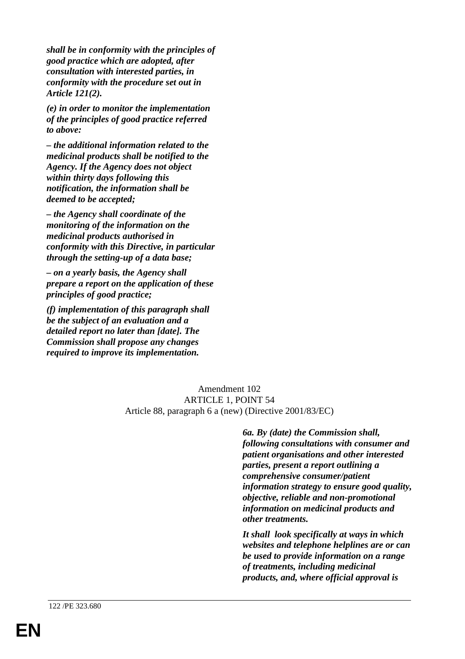*shall be in conformity with the principles of good practice which are adopted, after consultation with interested parties, in conformity with the procedure set out in Article 121(2).*

*(e) in order to monitor the implementation of the principles of good practice referred to above:*

*– the additional information related to the medicinal products shall be notified to the Agency. If the Agency does not object within thirty days following this notification, the information shall be deemed to be accepted;*

*– the Agency shall coordinate of the monitoring of the information on the medicinal products authorised in conformity with this Directive, in particular through the setting-up of a data base;*

*– on a yearly basis, the Agency shall prepare a report on the application of these principles of good practice;*

*(f) implementation of this paragraph shall be the subject of an evaluation and a detailed report no later than [date]. The Commission shall propose any changes required to improve its implementation.*

> Amendment 102 ARTICLE 1, POINT 54 Article 88, paragraph 6 a (new) (Directive 2001/83/EC)

> > *6a. By (date) the Commission shall, following consultations with consumer and patient organisations and other interested parties, present a report outlining a comprehensive consumer/patient information strategy to ensure good quality, objective, reliable and non-promotional information on medicinal products and other treatments.*

> > *It shall look specifically at ways in which websites and telephone helplines are or can be used to provide information on a range of treatments, including medicinal products, and, where official approval is*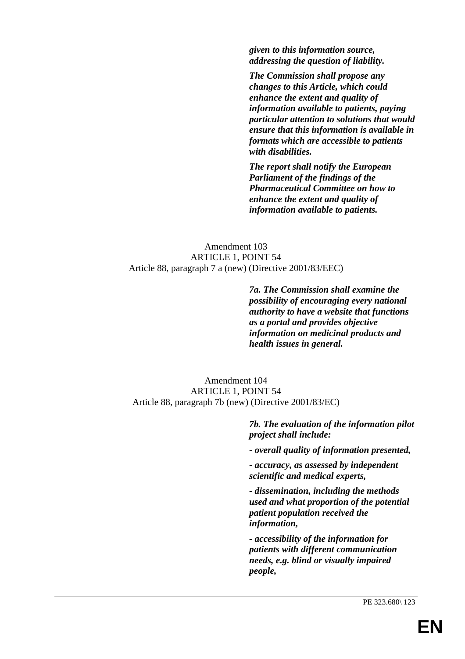*given to this information source, addressing the question of liability.*

*The Commission shall propose any changes to this Article, which could enhance the extent and quality of information available to patients, paying particular attention to solutions that would ensure that this information is available in formats which are accessible to patients with disabilities.*

*The report shall notify the European Parliament of the findings of the Pharmaceutical Committee on how to enhance the extent and quality of information available to patients.*

### Amendment 103 ARTICLE 1, POINT 54 Article 88, paragraph 7 a (new) (Directive 2001/83/EEC)

*7a. The Commission shall examine the possibility of encouraging every national authority to have a website that functions as a portal and provides objective information on medicinal products and health issues in general.*

### Amendment 104 ARTICLE 1, POINT 54 Article 88, paragraph 7b (new) (Directive 2001/83/EC)

*7b. The evaluation of the information pilot project shall include:*

*- overall quality of information presented,*

*- accuracy, as assessed by independent scientific and medical experts,*

*- dissemination, including the methods used and what proportion of the potential patient population received the information,*

*- accessibility of the information for patients with different communication needs, e.g. blind or visually impaired people,*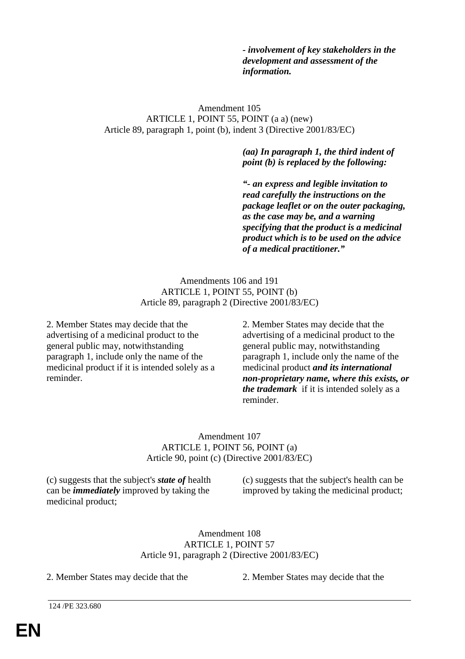*- involvement of key stakeholders in the development and assessment of the information.*

### Amendment 105 ARTICLE 1, POINT 55, POINT (a a) (new) Article 89, paragraph 1, point (b), indent 3 (Directive 2001/83/EC)

*(aa) In paragraph 1, the third indent of point (b) is replaced by the following:*

*"- an express and legible invitation to read carefully the instructions on the package leaflet or on the outer packaging, as the case may be, and a warning specifying that the product is a medicinal product which is to be used on the advice of a medical practitioner."*

### Amendments 106 and 191 ARTICLE 1, POINT 55, POINT (b) Article 89, paragraph 2 (Directive 2001/83/EC)

2. Member States may decide that the advertising of a medicinal product to the general public may, notwithstanding paragraph 1, include only the name of the medicinal product if it is intended solely as a reminder.

2. Member States may decide that the advertising of a medicinal product to the general public may, notwithstanding paragraph 1, include only the name of the medicinal product *and its international non-proprietary name, where this exists, or the trademark* if it is intended solely as a reminder.

### Amendment 107 ARTICLE 1, POINT 56, POINT (a) Article 90, point (c) (Directive 2001/83/EC)

(c) suggests that the subject's *state of* health can be *immediately* improved by taking the medicinal product;

(c) suggests that the subject's health can be improved by taking the medicinal product;

#### Amendment 108 ARTICLE 1, POINT 57 Article 91, paragraph 2 (Directive 2001/83/EC)

2. Member States may decide that the 2. Member States may decide that the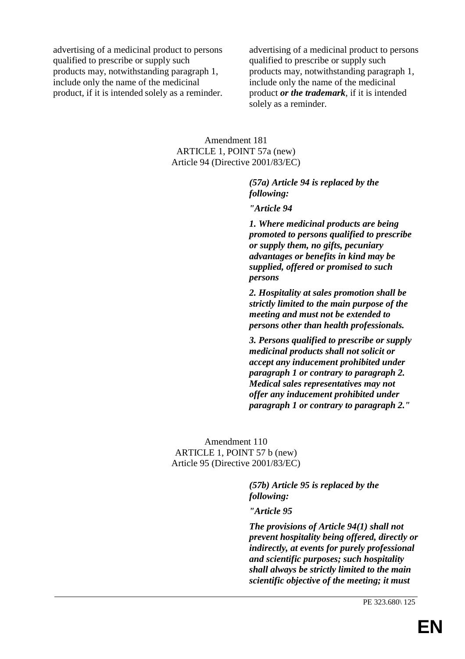advertising of a medicinal product to persons qualified to prescribe or supply such products may, notwithstanding paragraph 1, include only the name of the medicinal product, if it is intended solely as a reminder.

advertising of a medicinal product to persons qualified to prescribe or supply such products may, notwithstanding paragraph 1, include only the name of the medicinal product *or the trademark*, if it is intended solely as a reminder.

### Amendment 181 ARTICLE 1, POINT 57a (new) Article 94 (Directive 2001/83/EC)

*(57a) Article 94 is replaced by the following:*

*"Article 94*

*1. Where medicinal products are being promoted to persons qualified to prescribe or supply them, no gifts, pecuniary advantages or benefits in kind may be supplied, offered or promised to such persons*

*2. Hospitality at sales promotion shall be strictly limited to the main purpose of the meeting and must not be extended to persons other than health professionals.*

*3. Persons qualified to prescribe or supply medicinal products shall not solicit or accept any inducement prohibited under paragraph 1 or contrary to paragraph 2. Medical sales representatives may not offer any inducement prohibited under paragraph 1 or contrary to paragraph 2."*

Amendment 110 ARTICLE 1, POINT 57 b (new) Article 95 (Directive 2001/83/EC)

> *(57b) Article 95 is replaced by the following:*

*"Article 95*

*The provisions of Article 94(1) shall not prevent hospitality being offered, directly or indirectly, at events for purely professional and scientific purposes; such hospitality shall always be strictly limited to the main scientific objective of the meeting; it must*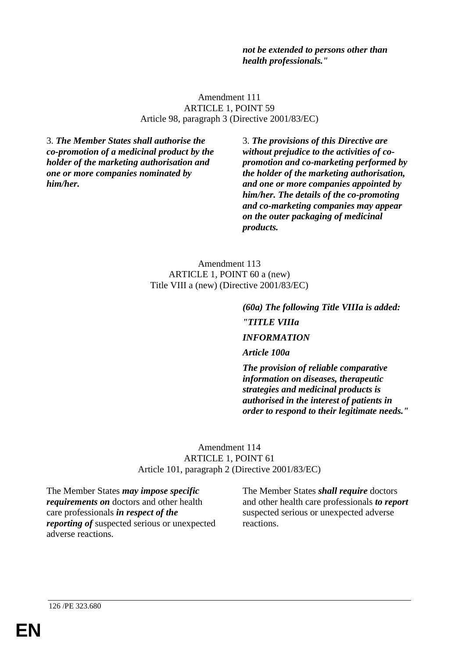*not be extended to persons other than health professionals."*

Amendment 111 ARTICLE 1, POINT 59 Article 98, paragraph 3 (Directive 2001/83/EC)

3. *The Member States shall authorise the co-promotion of a medicinal product by the holder of the marketing authorisation and one or more companies nominated by him/her.*

3. *The provisions of this Directive are without prejudice to the activities of copromotion and co-marketing performed by the holder of the marketing authorisation, and one or more companies appointed by him/her. The details of the co-promoting and co-marketing companies may appear on the outer packaging of medicinal products.*

Amendment 113 ARTICLE 1, POINT 60 a (new) Title VIII a (new) (Directive 2001/83/EC)

> *(60a) The following Title VIIIa is added: "TITLE VIIIa INFORMATION*

*Article 100a*

*The provision of reliable comparative information on diseases, therapeutic strategies and medicinal products is authorised in the interest of patients in order to respond to their legitimate needs."*

#### Amendment 114 ARTICLE 1, POINT 61 Article 101, paragraph 2 (Directive 2001/83/EC)

The Member States *may impose specific requirements on* doctors and other health care professionals *in respect of the reporting of* suspected serious or unexpected adverse reactions.

The Member States *shall require* doctors and other health care professionals *to report* suspected serious or unexpected adverse reactions.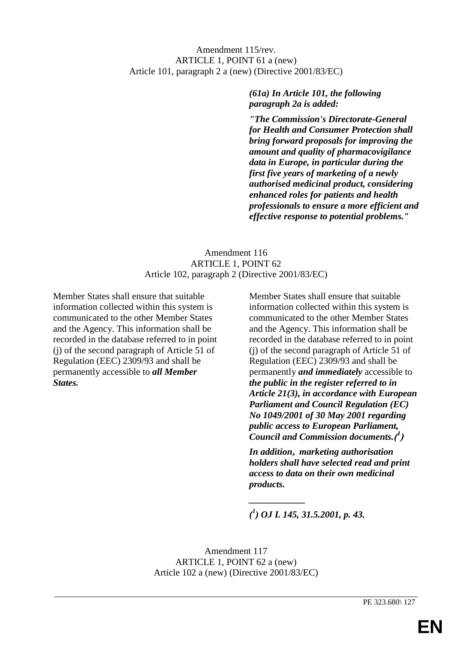# Amendment 115/rev. ARTICLE 1, POINT 61 a (new) Article 101, paragraph 2 a (new) (Directive 2001/83/EC)

# *(61a) In Article 101, the following paragraph 2a is added:*

*"The Commission's Directorate-General for Health and Consumer Protection shall bring forward proposals for improving the amount and quality of pharmacovigilance data in Europe, in particular during the first five years of marketing of a newly authorised medicinal product, considering enhanced roles for patients and health professionals to ensure a more efficient and effective response to potential problems."*

# Amendment 116 ARTICLE 1, POINT 62 Article 102, paragraph 2 (Directive 2001/83/EC)

Member States shall ensure that suitable information collected within this system is communicated to the other Member States and the Agency. This information shall be recorded in the database referred to in point (j) of the second paragraph of Article 51 of Regulation (EEC) 2309/93 and shall be permanently accessible to *all Member States.*

Member States shall ensure that suitable information collected within this system is communicated to the other Member States and the Agency. This information shall be recorded in the database referred to in point (j) of the second paragraph of Article 51 of Regulation (EEC) 2309/93 and shall be permanently *and immediately* accessible to *the public in the register referred to in Article 21(3), in accordance with European Parliament and Council Regulation (EC) No 1049/2001 of 30 May 2001 regarding public access to European Parliament, Council and Commission documents.***( 1 )**

*In addition***,** *marketing authorisation holders shall have selected read and print access to data on their own medicinal products.*

*( 1 ) OJ L 145, 31.5.2001, p. 43.*

*\_\_\_\_\_\_\_\_\_\_\_\_*

Amendment 117 ARTICLE 1, POINT 62 a (new) Article 102 a (new) (Directive 2001/83/EC)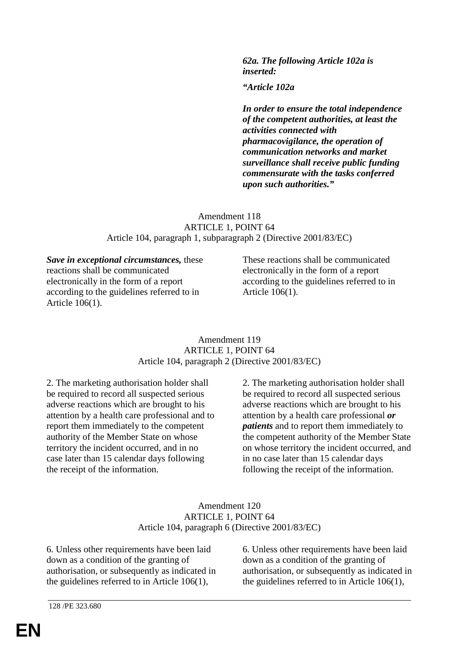*62a. The following Article 102a is inserted:*

*"Article 102a*

*In order to ensure the total independence of the competent authorities, at least the activities connected with pharmacovigilance, the operation of communication networks and market surveillance shall receive public funding commensurate with the tasks conferred upon such authorities."*

### Amendment 118 ARTICLE 1, POINT 64 Article 104, paragraph 1, subparagraph 2 (Directive 2001/83/EC)

*Save in exceptional circumstances,* these reactions shall be communicated electronically in the form of a report according to the guidelines referred to in Article 106(1).

These reactions shall be communicated electronically in the form of a report according to the guidelines referred to in Article 106(1).

### Amendment 119 ARTICLE 1, POINT 64 Article 104, paragraph 2 (Directive 2001/83/EC)

2. The marketing authorisation holder shall be required to record all suspected serious adverse reactions which are brought to his attention by a health care professional and to report them immediately to the competent authority of the Member State on whose territory the incident occurred, and in no case later than 15 calendar days following the receipt of the information.

2. The marketing authorisation holder shall be required to record all suspected serious adverse reactions which are brought to his attention by a health care professional *or patients* and to report them immediately to the competent authority of the Member State on whose territory the incident occurred, and in no case later than 15 calendar days following the receipt of the information.

### Amendment 120 ARTICLE 1, POINT 64 Article 104, paragraph 6 (Directive 2001/83/EC)

6. Unless other requirements have been laid down as a condition of the granting of authorisation, or subsequently as indicated in the guidelines referred to in Article 106(1),

6. Unless other requirements have been laid down as a condition of the granting of authorisation, or subsequently as indicated in the guidelines referred to in Article 106(1),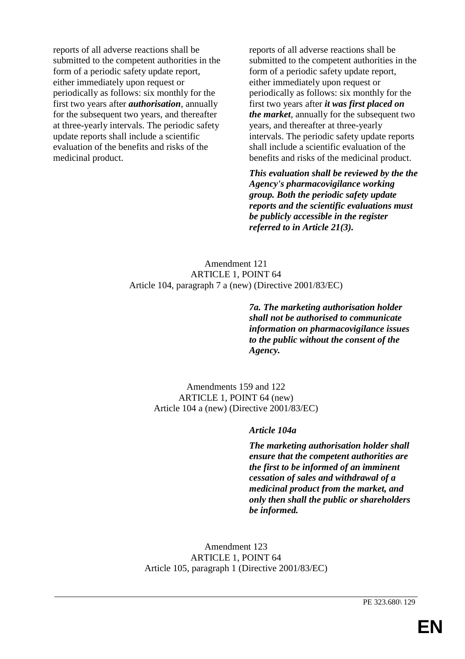reports of all adverse reactions shall be submitted to the competent authorities in the form of a periodic safety update report, either immediately upon request or periodically as follows: six monthly for the first two years after *authorisation*, annually for the subsequent two years, and thereafter at three-yearly intervals. The periodic safety update reports shall include a scientific evaluation of the benefits and risks of the medicinal product.

reports of all adverse reactions shall be submitted to the competent authorities in the form of a periodic safety update report, either immediately upon request or periodically as follows: six monthly for the first two years after *it was first placed on the market*, annually for the subsequent two years, and thereafter at three-yearly intervals. The periodic safety update reports shall include a scientific evaluation of the benefits and risks of the medicinal product.

*This evaluation shall be reviewed by the the Agency's pharmacovigilance working group. Both the periodic safety update reports and the scientific evaluations must be publicly accessible in the register referred to in Article 21(3).*

# Amendment 121 ARTICLE 1, POINT 64 Article 104, paragraph 7 a (new) (Directive 2001/83/EC)

*7a. The marketing authorisation holder shall not be authorised to communicate information on pharmacovigilance issues to the public without the consent of the Agency.*

Amendments 159 and 122 ARTICLE 1, POINT 64 (new) Article 104 a (new) (Directive 2001/83/EC)

### *Article 104a*

*The marketing authorisation holder shall ensure that the competent authorities are the first to be informed of an imminent cessation of sales and withdrawal of a medicinal product from the market, and only then shall the public or shareholders be informed.*

Amendment 123 ARTICLE 1, POINT 64 Article 105, paragraph 1 (Directive 2001/83/EC)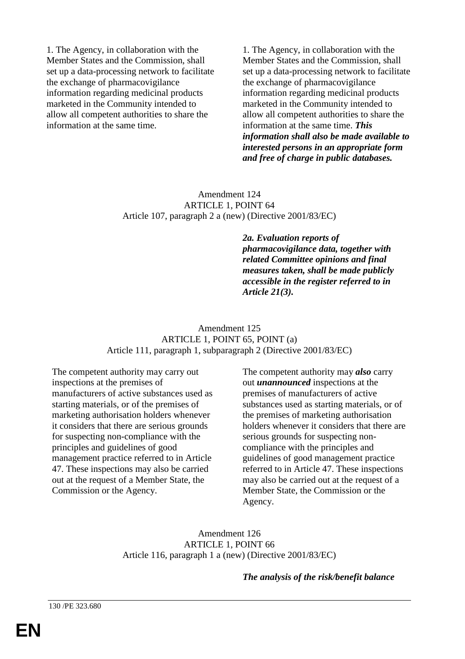1. The Agency, in collaboration with the Member States and the Commission, shall set up a data-processing network to facilitate the exchange of pharmacovigilance information regarding medicinal products marketed in the Community intended to allow all competent authorities to share the information at the same time.

1. The Agency, in collaboration with the Member States and the Commission, shall set up a data-processing network to facilitate the exchange of pharmacovigilance information regarding medicinal products marketed in the Community intended to allow all competent authorities to share the information at the same time. *This information shall also be made available to interested persons in an appropriate form and free of charge in public databases.*

### Amendment 124 ARTICLE 1, POINT 64 Article 107, paragraph 2 a (new) (Directive 2001/83/EC)

*2a. Evaluation reports of pharmacovigilance data, together with related Committee opinions and final measures taken, shall be made publicly accessible in the register referred to in Article 21(3).*

### Amendment 125 ARTICLE 1, POINT 65, POINT (a) Article 111, paragraph 1, subparagraph 2 (Directive 2001/83/EC)

The competent authority may carry out inspections at the premises of manufacturers of active substances used as starting materials, or of the premises of marketing authorisation holders whenever it considers that there are serious grounds for suspecting non-compliance with the principles and guidelines of good management practice referred to in Article 47. These inspections may also be carried out at the request of a Member State, the Commission or the Agency.

The competent authority may *also* carry out *unannounced* inspections at the premises of manufacturers of active substances used as starting materials, or of the premises of marketing authorisation holders whenever it considers that there are serious grounds for suspecting noncompliance with the principles and guidelines of good management practice referred to in Article 47. These inspections may also be carried out at the request of a Member State, the Commission or the Agency.

Amendment 126 ARTICLE 1, POINT 66 Article 116, paragraph 1 a (new) (Directive 2001/83/EC)

*The analysis of the risk/benefit balance*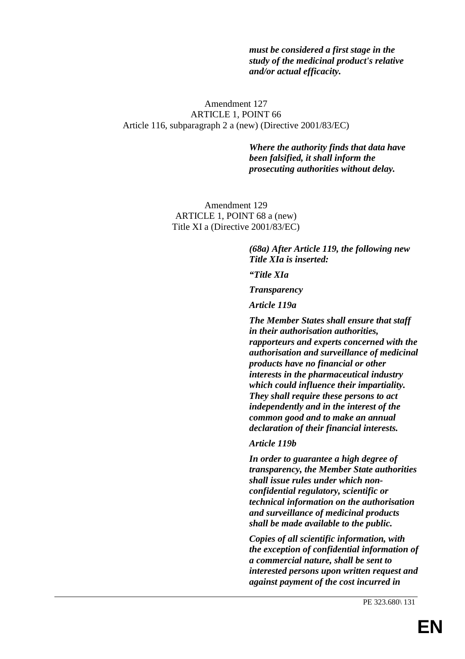*must be considered a first stage in the study of the medicinal product's relative and/or actual efficacity.*

### Amendment 127 ARTICLE 1, POINT 66 Article 116, subparagraph 2 a (new) (Directive 2001/83/EC)

*Where the authority finds that data have been falsified, it shall inform the prosecuting authorities without delay.*

Amendment 129 ARTICLE 1, POINT 68 a (new) Title XI a (Directive 2001/83/EC)

> *(68a) After Article 119, the following new Title XIa is inserted:*

*"Title XIa*

*Transparency*

*Article 119a*

*The Member States shall ensure that staff in their authorisation authorities, rapporteurs and experts concerned with the authorisation and surveillance of medicinal products have no financial or other interests in the pharmaceutical industry which could influence their impartiality. They shall require these persons to act independently and in the interest of the common good and to make an annual declaration of their financial interests.*

#### *Article 119b*

*In order to guarantee a high degree of transparency, the Member State authorities shall issue rules under which nonconfidential regulatory, scientific or technical information on the authorisation and surveillance of medicinal products shall be made available to the public.*

*Copies of all scientific information, with the exception of confidential information of a commercial nature, shall be sent to interested persons upon written request and against payment of the cost incurred in*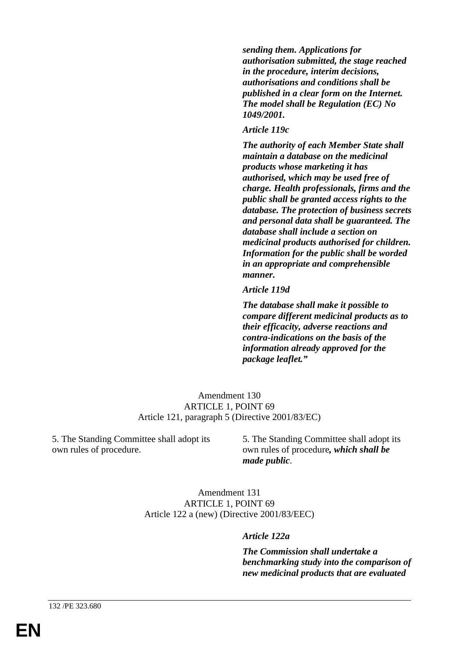*sending them. Applications for authorisation submitted, the stage reached in the procedure, interim decisions, authorisations and conditions shall be published in a clear form on the Internet. The model shall be Regulation (EC) No 1049/2001.*

#### *Article 119c*

*The authority of each Member State shall maintain a database on the medicinal products whose marketing it has authorised, which may be used free of charge. Health professionals, firms and the public shall be granted access rights to the database. The protection of business secrets and personal data shall be guaranteed. The database shall include a section on medicinal products authorised for children. Information for the public shall be worded in an appropriate and comprehensible manner.*

#### *Article 119d*

*The database shall make it possible to compare different medicinal products as to their efficacity, adverse reactions and contra-indications on the basis of the information already approved for the package leaflet."*

Amendment 130 ARTICLE 1, POINT 69 Article 121, paragraph 5 (Directive 2001/83/EC)

5. The Standing Committee shall adopt its own rules of procedure.

5. The Standing Committee shall adopt its own rules of procedure*, which shall be made public*.

Amendment 131 ARTICLE 1, POINT 69 Article 122 a (new) (Directive 2001/83/EEC)

### *Article 122a*

*The Commission shall undertake a benchmarking study into the comparison of new medicinal products that are evaluated*